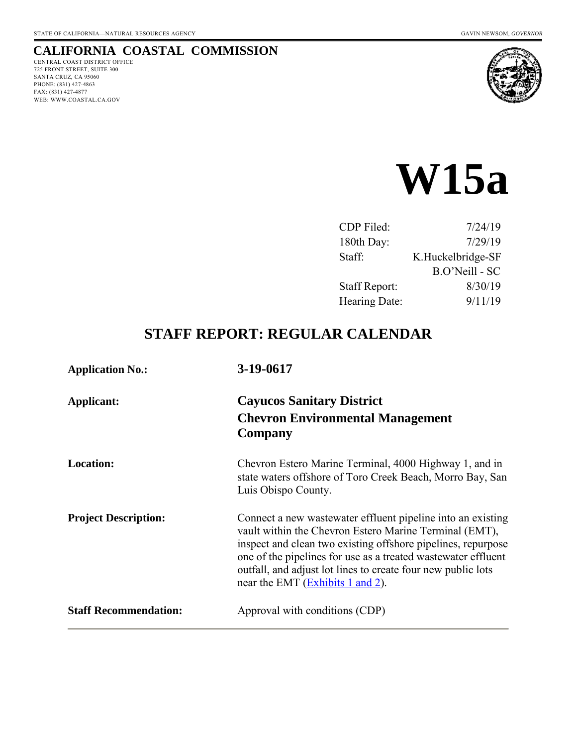## **CALIFORNIA COASTAL COMMISSION**

CENTRAL COAST DISTRICT OFFICE 725 FRONT STREET, SUITE 300 SANTA CRUZ, CA 95060 PHONE: (831) 427-4863 FAX: (831) 427-4877 WEB: WWW.COASTAL.CA.GOV



# **W15a**

| 7/24/19           |
|-------------------|
| 7/29/19           |
| K.Huckelbridge-SF |
| B.O'Neill - SC    |
| 8/30/19           |
| 9/11/19           |
|                   |

# **STAFF REPORT: REGULAR CALENDAR**

| <b>Application No.:</b>      | 3-19-0617                                                                                                                                                                                                                                                                                                                                                  |  |  |
|------------------------------|------------------------------------------------------------------------------------------------------------------------------------------------------------------------------------------------------------------------------------------------------------------------------------------------------------------------------------------------------------|--|--|
| Applicant:                   | <b>Cayucos Sanitary District</b><br><b>Chevron Environmental Management</b><br><b>Company</b>                                                                                                                                                                                                                                                              |  |  |
| <b>Location:</b>             | Chevron Estero Marine Terminal, 4000 Highway 1, and in<br>state waters offshore of Toro Creek Beach, Morro Bay, San<br>Luis Obispo County.                                                                                                                                                                                                                 |  |  |
| <b>Project Description:</b>  | Connect a new wastewater effluent pipeline into an existing<br>vault within the Chevron Estero Marine Terminal (EMT),<br>inspect and clean two existing offshore pipelines, repurpose<br>one of the pipelines for use as a treated wastewater effluent<br>outfall, and adjust lot lines to create four new public lots<br>near the EMT (Exhibits 1 and 2). |  |  |
| <b>Staff Recommendation:</b> | Approval with conditions (CDP)                                                                                                                                                                                                                                                                                                                             |  |  |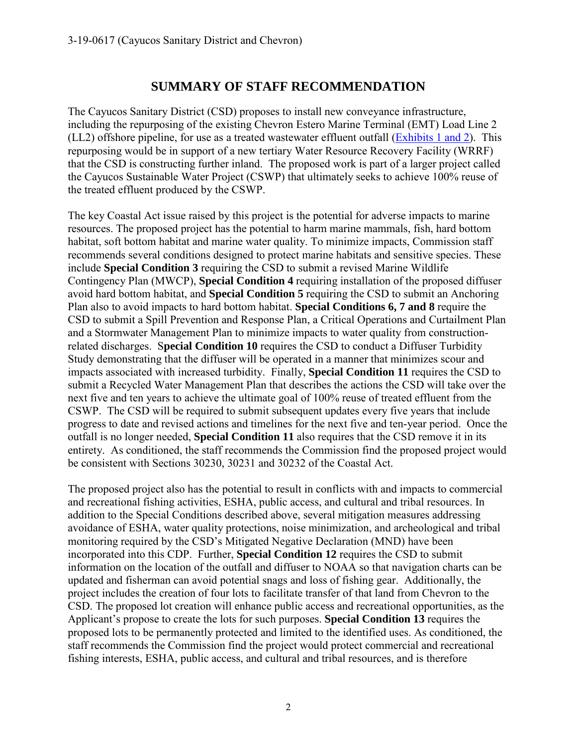# **SUMMARY OF STAFF RECOMMENDATION**

The Cayucos Sanitary District (CSD) proposes to install new conveyance infrastructure, including the repurposing of the existing Chevron Estero Marine Terminal (EMT) Load Line 2 (LL2) offshore pipeline, for use as a treated wastewater effluent outfall [\(Exhibits 1 and 2\)](https://documents.coastal.ca.gov/reports/2019/9/w15a/w15a-9-2019-exhibits.pdf). This repurposing would be in support of a new tertiary Water Resource Recovery Facility (WRRF) that the CSD is constructing further inland. The proposed work is part of a larger project called the Cayucos Sustainable Water Project (CSWP) that ultimately seeks to achieve 100% reuse of the treated effluent produced by the CSWP.

The key Coastal Act issue raised by this project is the potential for adverse impacts to marine resources. The proposed project has the potential to harm marine mammals, fish, hard bottom habitat, soft bottom habitat and marine water quality. To minimize impacts, Commission staff recommends several conditions designed to protect marine habitats and sensitive species. These include **Special Condition 3** requiring the CSD to submit a revised Marine Wildlife Contingency Plan (MWCP), **Special Condition 4** requiring installation of the proposed diffuser avoid hard bottom habitat, and **Special Condition 5** requiring the CSD to submit an Anchoring Plan also to avoid impacts to hard bottom habitat. **Special Conditions 6, 7 and 8** require the CSD to submit a Spill Prevention and Response Plan, a Critical Operations and Curtailment Plan and a Stormwater Management Plan to minimize impacts to water quality from constructionrelated discharges. S**pecial Condition 10** requires the CSD to conduct a Diffuser Turbidity Study demonstrating that the diffuser will be operated in a manner that minimizes scour and impacts associated with increased turbidity. Finally, **Special Condition 11** requires the CSD to submit a Recycled Water Management Plan that describes the actions the CSD will take over the next five and ten years to achieve the ultimate goal of 100% reuse of treated effluent from the CSWP. The CSD will be required to submit subsequent updates every five years that include progress to date and revised actions and timelines for the next five and ten-year period. Once the outfall is no longer needed, **Special Condition 11** also requires that the CSD remove it in its entirety. As conditioned, the staff recommends the Commission find the proposed project would be consistent with Sections 30230, 30231 and 30232 of the Coastal Act.

The proposed project also has the potential to result in conflicts with and impacts to commercial and recreational fishing activities, ESHA, public access, and cultural and tribal resources. In addition to the Special Conditions described above, several mitigation measures addressing avoidance of ESHA, water quality protections, noise minimization, and archeological and tribal monitoring required by the CSD's Mitigated Negative Declaration (MND) have been incorporated into this CDP. Further, **Special Condition 12** requires the CSD to submit information on the location of the outfall and diffuser to NOAA so that navigation charts can be updated and fisherman can avoid potential snags and loss of fishing gear. Additionally, the project includes the creation of four lots to facilitate transfer of that land from Chevron to the CSD. The proposed lot creation will enhance public access and recreational opportunities, as the Applicant's propose to create the lots for such purposes. **Special Condition 13** requires the proposed lots to be permanently protected and limited to the identified uses. As conditioned, the staff recommends the Commission find the project would protect commercial and recreational fishing interests, ESHA, public access, and cultural and tribal resources, and is therefore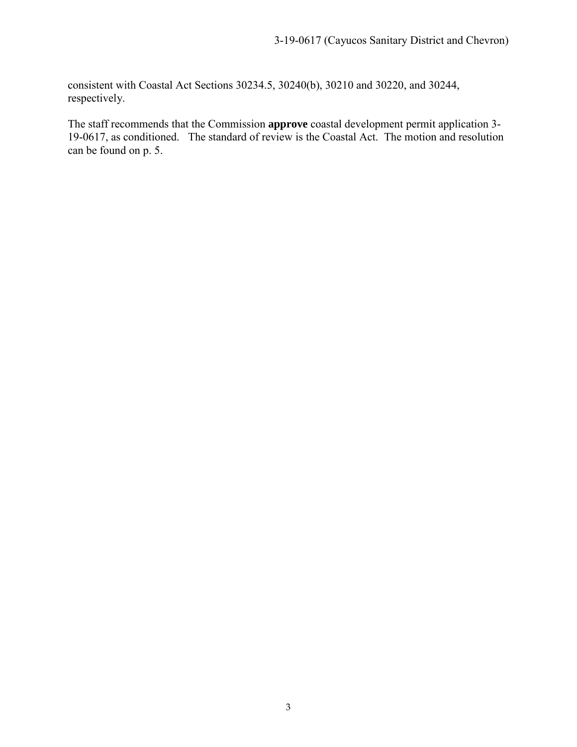consistent with Coastal Act Sections 30234.5, 30240(b), 30210 and 30220, and 30244, respectively.

The staff recommends that the Commission **approve** coastal development permit application 3- 19-0617, as conditioned. The standard of review is the Coastal Act. The motion and resolution can be found on p. 5.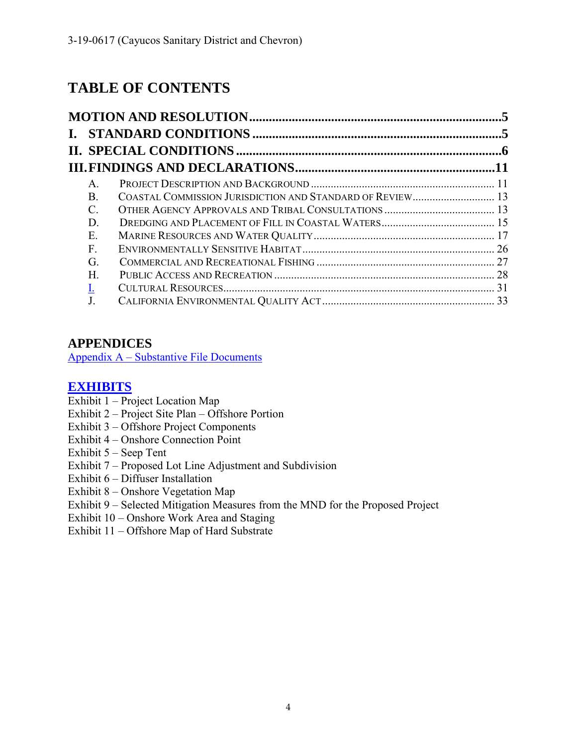# **TABLE OF CONTENTS**

| $A_{-}$    |    |
|------------|----|
| <b>B</b> . |    |
|            |    |
| D          |    |
| Е.         |    |
| F          |    |
| G          |    |
| Н.         |    |
|            | 31 |
|            |    |

# **APPENDICES**

[Appendix A – Substantive File Documents](#page-34-0)

## **[EXHIBITS](https://documents.coastal.ca.gov/reports/2019/9/w15a/w15a-9-2019-exhibits.pdf)**

- Exhibit  $1 -$ Project Location Map
- Exhibit 2 Project Site Plan Offshore Portion
- Exhibit 3 Offshore Project Components
- Exhibit 4 Onshore Connection Point
- Exhibit 5 Seep Tent
- Exhibit 7 Proposed Lot Line Adjustment and Subdivision
- Exhibit 6 Diffuser Installation
- Exhibit 8 Onshore Vegetation Map
- Exhibit 9 Selected Mitigation Measures from the MND for the Proposed Project
- Exhibit 10 Onshore Work Area and Staging
- Exhibit 11 Offshore Map of Hard Substrate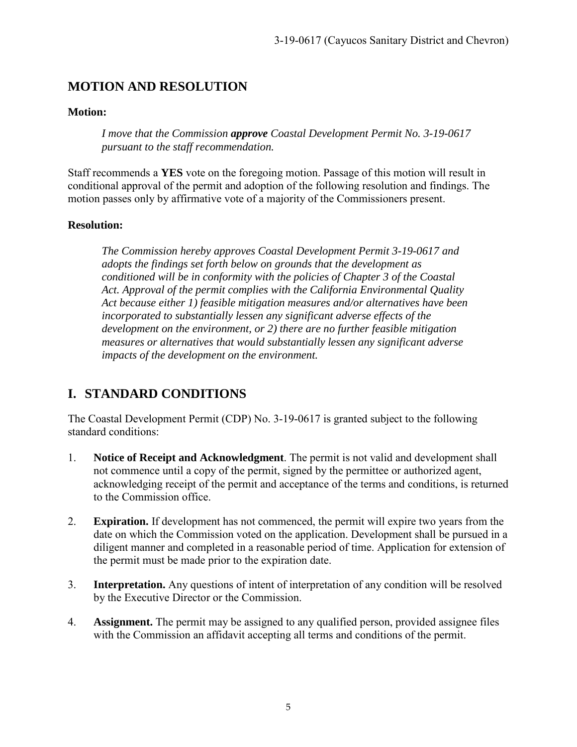# <span id="page-4-0"></span>**MOTION AND RESOLUTION**

#### **Motion:**

*I move that the Commission approve Coastal Development Permit No. 3-19-0617 pursuant to the staff recommendation.* 

Staff recommends a **YES** vote on the foregoing motion. Passage of this motion will result in conditional approval of the permit and adoption of the following resolution and findings. The motion passes only by affirmative vote of a majority of the Commissioners present.

#### **Resolution:**

*The Commission hereby approves Coastal Development Permit 3-19-0617 and adopts the findings set forth below on grounds that the development as conditioned will be in conformity with the policies of Chapter 3 of the Coastal Act. Approval of the permit complies with the California Environmental Quality Act because either 1) feasible mitigation measures and/or alternatives have been incorporated to substantially lessen any significant adverse effects of the development on the environment, or 2) there are no further feasible mitigation measures or alternatives that would substantially lessen any significant adverse impacts of the development on the environment.* 

# <span id="page-4-1"></span>**I. STANDARD CONDITIONS**

The Coastal Development Permit (CDP) No. 3-19-0617 is granted subject to the following standard conditions:

- 1. **Notice of Receipt and Acknowledgment**. The permit is not valid and development shall not commence until a copy of the permit, signed by the permittee or authorized agent, acknowledging receipt of the permit and acceptance of the terms and conditions, is returned to the Commission office.
- 2. **Expiration.** If development has not commenced, the permit will expire two years from the date on which the Commission voted on the application. Development shall be pursued in a diligent manner and completed in a reasonable period of time. Application for extension of the permit must be made prior to the expiration date.
- 3. **Interpretation.** Any questions of intent of interpretation of any condition will be resolved by the Executive Director or the Commission.
- 4. **Assignment.** The permit may be assigned to any qualified person, provided assignee files with the Commission an affidavit accepting all terms and conditions of the permit.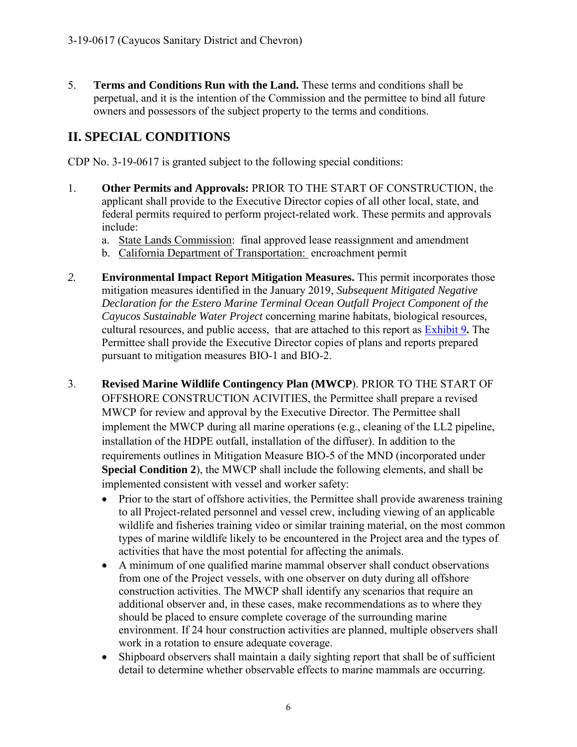5. **Terms and Conditions Run with the Land.** These terms and conditions shall be perpetual, and it is the intention of the Commission and the permittee to bind all future owners and possessors of the subject property to the terms and conditions.

# <span id="page-5-0"></span>**II. SPECIAL CONDITIONS**

CDP No. 3-19-0617 is granted subject to the following special conditions:

- 1. **Other Permits and Approvals:** PRIOR TO THE START OF CONSTRUCTION, the applicant shall provide to the Executive Director copies of all other local, state, and federal permits required to perform project-related work. These permits and approvals include:
	- a. State Lands Commission: final approved lease reassignment and amendment
	- b. California Department of Transportation: encroachment permit
- *2.* **Environmental Impact Report Mitigation Measures.** This permit incorporates those mitigation measures identified in the January 2019, *Subsequent Mitigated Negative Declaration for the Estero Marine Terminal Ocean Outfall Project Component of the Cayucos Sustainable Water Project* concerning marine habitats, biological resources, cultural resources, and public access, that are attached to this report as [Exhibit 9](https://documents.coastal.ca.gov/reports/2019/9/w15a/w15a-9-2019-exhibits.pdf)**.** The Permittee shall provide the Executive Director copies of plans and reports prepared pursuant to mitigation measures BIO-1 and BIO-2.
- 3. **Revised Marine Wildlife Contingency Plan (MWCP**). PRIOR TO THE START OF OFFSHORE CONSTRUCTION ACIVITIES, the Permittee shall prepare a revised MWCP for review and approval by the Executive Director. The Permittee shall implement the MWCP during all marine operations (e.g., cleaning of the LL2 pipeline, installation of the HDPE outfall, installation of the diffuser). In addition to the requirements outlines in Mitigation Measure BIO-5 of the MND (incorporated under **Special Condition 2**), the MWCP shall include the following elements, and shall be implemented consistent with vessel and worker safety:
	- Prior to the start of offshore activities, the Permittee shall provide awareness training to all Project-related personnel and vessel crew, including viewing of an applicable wildlife and fisheries training video or similar training material, on the most common types of marine wildlife likely to be encountered in the Project area and the types of activities that have the most potential for affecting the animals.
	- A minimum of one qualified marine mammal observer shall conduct observations from one of the Project vessels, with one observer on duty during all offshore construction activities. The MWCP shall identify any scenarios that require an additional observer and, in these cases, make recommendations as to where they should be placed to ensure complete coverage of the surrounding marine environment. If 24 hour construction activities are planned, multiple observers shall work in a rotation to ensure adequate coverage.
	- Shipboard observers shall maintain a daily sighting report that shall be of sufficient detail to determine whether observable effects to marine mammals are occurring.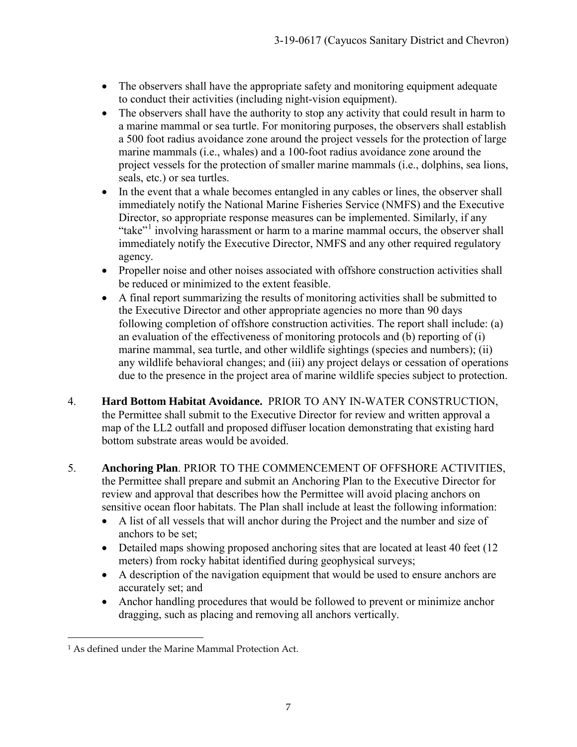- The observers shall have the appropriate safety and monitoring equipment adequate to conduct their activities (including night-vision equipment).
- The observers shall have the authority to stop any activity that could result in harm to a marine mammal or sea turtle. For monitoring purposes, the observers shall establish a 500 foot radius avoidance zone around the project vessels for the protection of large marine mammals (i.e., whales) and a 100-foot radius avoidance zone around the project vessels for the protection of smaller marine mammals (i.e., dolphins, sea lions, seals, etc.) or sea turtles.
- In the event that a whale becomes entangled in any cables or lines, the observer shall immediately notify the National Marine Fisheries Service (NMFS) and the Executive Director, so appropriate response measures can be implemented. Similarly, if any "take"<sup>[1](#page-6-0)</sup> involving harassment or harm to a marine mammal occurs, the observer shall immediately notify the Executive Director, NMFS and any other required regulatory agency.
- Propeller noise and other noises associated with offshore construction activities shall be reduced or minimized to the extent feasible.
- A final report summarizing the results of monitoring activities shall be submitted to the Executive Director and other appropriate agencies no more than 90 days following completion of offshore construction activities. The report shall include: (a) an evaluation of the effectiveness of monitoring protocols and (b) reporting of (i) marine mammal, sea turtle, and other wildlife sightings (species and numbers); (ii) any wildlife behavioral changes; and (iii) any project delays or cessation of operations due to the presence in the project area of marine wildlife species subject to protection.
- 4. **Hard Bottom Habitat Avoidance.** PRIOR TO ANY IN-WATER CONSTRUCTION, the Permittee shall submit to the Executive Director for review and written approval a map of the LL2 outfall and proposed diffuser location demonstrating that existing hard bottom substrate areas would be avoided.
- 5. **Anchoring Plan**. PRIOR TO THE COMMENCEMENT OF OFFSHORE ACTIVITIES, the Permittee shall prepare and submit an Anchoring Plan to the Executive Director for review and approval that describes how the Permittee will avoid placing anchors on sensitive ocean floor habitats. The Plan shall include at least the following information:
	- A list of all vessels that will anchor during the Project and the number and size of anchors to be set;
	- Detailed maps showing proposed anchoring sites that are located at least 40 feet (12) meters) from rocky habitat identified during geophysical surveys;
	- A description of the navigation equipment that would be used to ensure anchors are accurately set; and
	- Anchor handling procedures that would be followed to prevent or minimize anchor dragging, such as placing and removing all anchors vertically.

<span id="page-6-0"></span> $\overline{a}$ <sup>1</sup> As defined under the Marine Mammal Protection Act.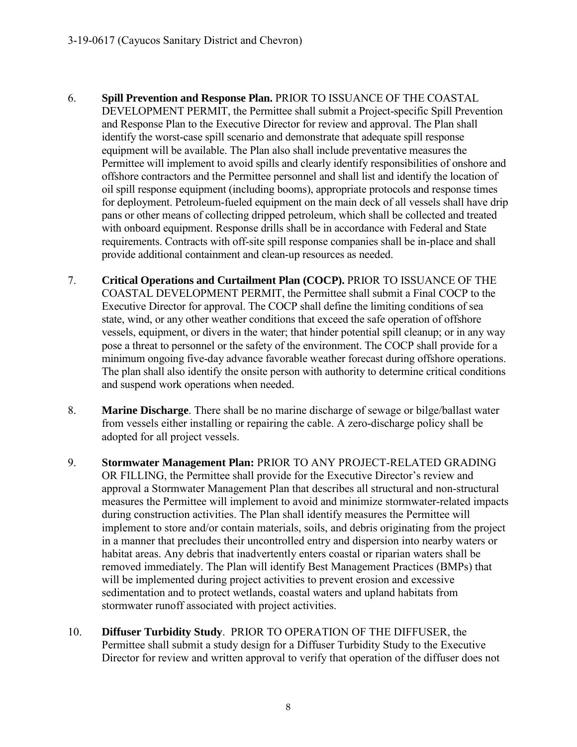- 6. **Spill Prevention and Response Plan.** PRIOR TO ISSUANCE OF THE COASTAL DEVELOPMENT PERMIT, the Permittee shall submit a Project-specific Spill Prevention and Response Plan to the Executive Director for review and approval. The Plan shall identify the worst-case spill scenario and demonstrate that adequate spill response equipment will be available. The Plan also shall include preventative measures the Permittee will implement to avoid spills and clearly identify responsibilities of onshore and offshore contractors and the Permittee personnel and shall list and identify the location of oil spill response equipment (including booms), appropriate protocols and response times for deployment. Petroleum-fueled equipment on the main deck of all vessels shall have drip pans or other means of collecting dripped petroleum, which shall be collected and treated with onboard equipment. Response drills shall be in accordance with Federal and State requirements. Contracts with off-site spill response companies shall be in-place and shall provide additional containment and clean-up resources as needed.
- 7. **Critical Operations and Curtailment Plan (COCP).** PRIOR TO ISSUANCE OF THE COASTAL DEVELOPMENT PERMIT, the Permittee shall submit a Final COCP to the Executive Director for approval. The COCP shall define the limiting conditions of sea state, wind, or any other weather conditions that exceed the safe operation of offshore vessels, equipment, or divers in the water; that hinder potential spill cleanup; or in any way pose a threat to personnel or the safety of the environment. The COCP shall provide for a minimum ongoing five-day advance favorable weather forecast during offshore operations. The plan shall also identify the onsite person with authority to determine critical conditions and suspend work operations when needed.
- 8. **Marine Discharge**. There shall be no marine discharge of sewage or bilge/ballast water from vessels either installing or repairing the cable. A zero-discharge policy shall be adopted for all project vessels.
- 9. **Stormwater Management Plan:** PRIOR TO ANY PROJECT-RELATED GRADING OR FILLING, the Permittee shall provide for the Executive Director's review and approval a Stormwater Management Plan that describes all structural and non-structural measures the Permittee will implement to avoid and minimize stormwater-related impacts during construction activities. The Plan shall identify measures the Permittee will implement to store and/or contain materials, soils, and debris originating from the project in a manner that precludes their uncontrolled entry and dispersion into nearby waters or habitat areas. Any debris that inadvertently enters coastal or riparian waters shall be removed immediately. The Plan will identify Best Management Practices (BMPs) that will be implemented during project activities to prevent erosion and excessive sedimentation and to protect wetlands, coastal waters and upland habitats from stormwater runoff associated with project activities.
- 10. **Diffuser Turbidity Study**. PRIOR TO OPERATION OF THE DIFFUSER, the Permittee shall submit a study design for a Diffuser Turbidity Study to the Executive Director for review and written approval to verify that operation of the diffuser does not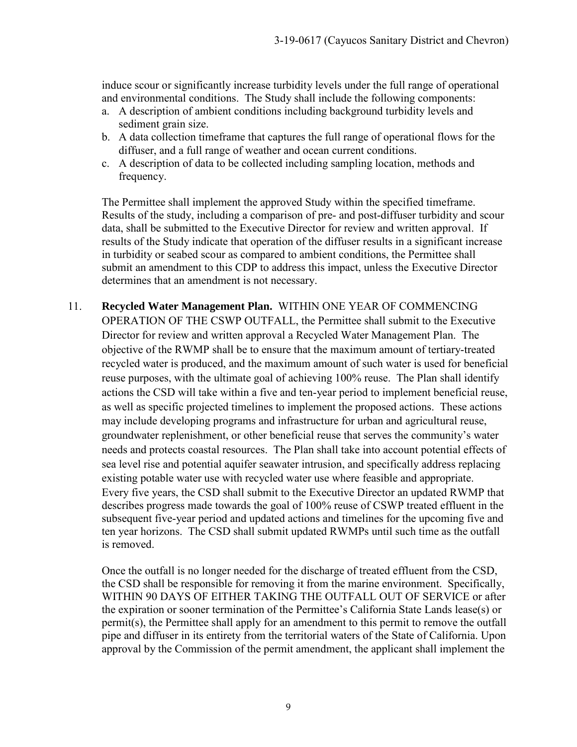induce scour or significantly increase turbidity levels under the full range of operational and environmental conditions. The Study shall include the following components:

- a. A description of ambient conditions including background turbidity levels and sediment grain size.
- b. A data collection timeframe that captures the full range of operational flows for the diffuser, and a full range of weather and ocean current conditions.
- c. A description of data to be collected including sampling location, methods and frequency.

The Permittee shall implement the approved Study within the specified timeframe. Results of the study, including a comparison of pre- and post-diffuser turbidity and scour data, shall be submitted to the Executive Director for review and written approval. If results of the Study indicate that operation of the diffuser results in a significant increase in turbidity or seabed scour as compared to ambient conditions, the Permittee shall submit an amendment to this CDP to address this impact, unless the Executive Director determines that an amendment is not necessary.

11. **Recycled Water Management Plan.** WITHIN ONE YEAR OF COMMENCING OPERATION OF THE CSWP OUTFALL, the Permittee shall submit to the Executive Director for review and written approval a Recycled Water Management Plan. The objective of the RWMP shall be to ensure that the maximum amount of tertiary-treated recycled water is produced, and the maximum amount of such water is used for beneficial reuse purposes, with the ultimate goal of achieving 100% reuse. The Plan shall identify actions the CSD will take within a five and ten-year period to implement beneficial reuse, as well as specific projected timelines to implement the proposed actions. These actions may include developing programs and infrastructure for urban and agricultural reuse, groundwater replenishment, or other beneficial reuse that serves the community's water needs and protects coastal resources. The Plan shall take into account potential effects of sea level rise and potential aquifer seawater intrusion, and specifically address replacing existing potable water use with recycled water use where feasible and appropriate. Every five years, the CSD shall submit to the Executive Director an updated RWMP that describes progress made towards the goal of 100% reuse of CSWP treated effluent in the subsequent five-year period and updated actions and timelines for the upcoming five and ten year horizons. The CSD shall submit updated RWMPs until such time as the outfall is removed.

Once the outfall is no longer needed for the discharge of treated effluent from the CSD, the CSD shall be responsible for removing it from the marine environment. Specifically, WITHIN 90 DAYS OF EITHER TAKING THE OUTFALL OUT OF SERVICE or after the expiration or sooner termination of the Permittee's California State Lands lease(s) or permit(s), the Permittee shall apply for an amendment to this permit to remove the outfall pipe and diffuser in its entirety from the territorial waters of the State of California. Upon approval by the Commission of the permit amendment, the applicant shall implement the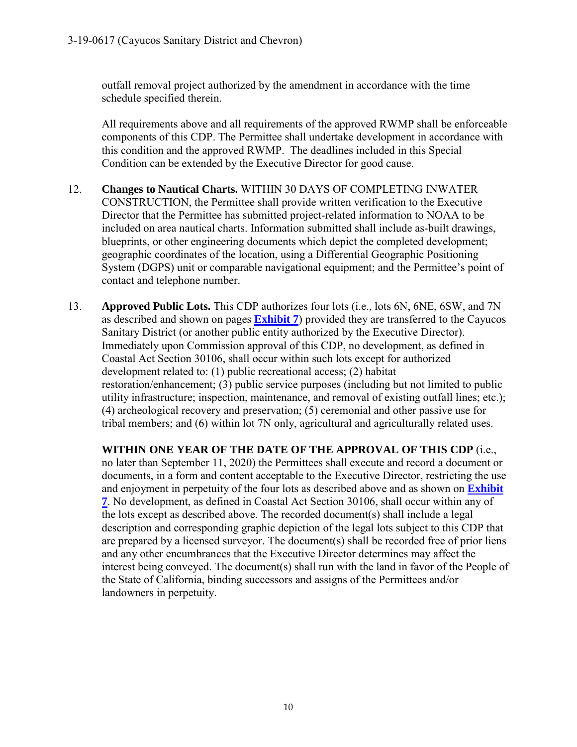outfall removal project authorized by the amendment in accordance with the time schedule specified therein.

All requirements above and all requirements of the approved RWMP shall be enforceable components of this CDP. The Permittee shall undertake development in accordance with this condition and the approved RWMP. The deadlines included in this Special Condition can be extended by the Executive Director for good cause.

- 12. **Changes to Nautical Charts.** WITHIN 30 DAYS OF COMPLETING INWATER CONSTRUCTION, the Permittee shall provide written verification to the Executive Director that the Permittee has submitted project-related information to NOAA to be included on area nautical charts. Information submitted shall include as-built drawings, blueprints, or other engineering documents which depict the completed development; geographic coordinates of the location, using a Differential Geographic Positioning System (DGPS) unit or comparable navigational equipment; and the Permittee's point of contact and telephone number.
- 13. **Approved Public Lots.** This CDP authorizes four lots (i.e., lots 6N, 6NE, 6SW, and 7N as described and shown on pages **[Exhibit 7](https://documents.coastal.ca.gov/reports/2019/9/w15a/w15a-9-2019-exhibits.pdf)**) provided they are transferred to the Cayucos Sanitary District (or another public entity authorized by the Executive Director). Immediately upon Commission approval of this CDP, no development, as defined in Coastal Act Section 30106, shall occur within such lots except for authorized development related to: (1) public recreational access; (2) habitat restoration/enhancement; (3) public service purposes (including but not limited to public utility infrastructure; inspection, maintenance, and removal of existing outfall lines; etc.); (4) archeological recovery and preservation; (5) ceremonial and other passive use for tribal members; and (6) within lot 7N only, agricultural and agriculturally related uses.

**WITHIN ONE YEAR OF THE DATE OF THE APPROVAL OF THIS CDP** (i.e., no later than September 11, 2020) the Permittees shall execute and record a document or documents, in a form and content acceptable to the Executive Director, restricting the use and enjoyment in perpetuity of the four lots as described above and as shown on **[Exhibit](https://documents.coastal.ca.gov/reports/2019/9/w15a/w15a-9-2019-exhibits.pdf)  [7](https://documents.coastal.ca.gov/reports/2019/9/w15a/w15a-9-2019-exhibits.pdf)**. No development, as defined in Coastal Act Section 30106, shall occur within any of the lots except as described above. The recorded document(s) shall include a legal description and corresponding graphic depiction of the legal lots subject to this CDP that are prepared by a licensed surveyor. The document(s) shall be recorded free of prior liens and any other encumbrances that the Executive Director determines may affect the interest being conveyed. The document(s) shall run with the land in favor of the People of the State of California, binding successors and assigns of the Permittees and/or landowners in perpetuity.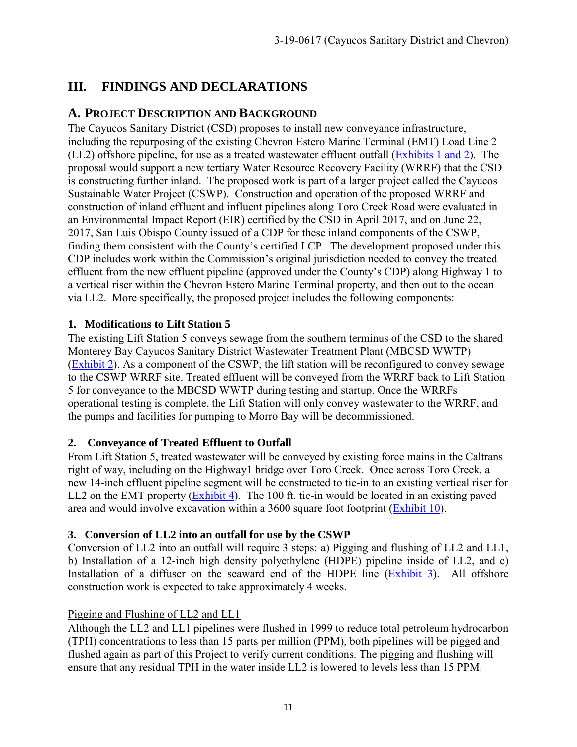# <span id="page-10-0"></span>**III. FINDINGS AND DECLARATIONS**

# <span id="page-10-1"></span>**A. PROJECT DESCRIPTION AND BACKGROUND**

The Cayucos Sanitary District (CSD) proposes to install new conveyance infrastructure, including the repurposing of the existing Chevron Estero Marine Terminal (EMT) Load Line 2 (LL2) offshore pipeline, for use as a treated wastewater effluent outfall [\(Exhibits 1 and 2\)](https://documents.coastal.ca.gov/reports/2019/9/w15a/w15a-9-2019-exhibits.pdf). The proposal would support a new tertiary Water Resource Recovery Facility (WRRF) that the CSD is constructing further inland. The proposed work is part of a larger project called the Cayucos Sustainable Water Project (CSWP). Construction and operation of the proposed WRRF and construction of inland effluent and influent pipelines along Toro Creek Road were evaluated in an Environmental Impact Report (EIR) certified by the CSD in April 2017, and on June 22, 2017, San Luis Obispo County issued of a CDP for these inland components of the CSWP, finding them consistent with the County's certified LCP. The development proposed under this CDP includes work within the Commission's original jurisdiction needed to convey the treated effluent from the new effluent pipeline (approved under the County's CDP) along Highway 1 to a vertical riser within the Chevron Estero Marine Terminal property, and then out to the ocean via LL2. More specifically, the proposed project includes the following components:

## **1. Modifications to Lift Station 5**

The existing Lift Station 5 conveys sewage from the southern terminus of the CSD to the shared Monterey Bay Cayucos Sanitary District Wastewater Treatment Plant (MBCSD WWTP) [\(Exhibit 2\)](https://documents.coastal.ca.gov/reports/2019/9/w15a/w15a-9-2019-exhibits.pdf). As a component of the CSWP, the lift station will be reconfigured to convey sewage to the CSWP WRRF site. Treated effluent will be conveyed from the WRRF back to Lift Station 5 for conveyance to the MBCSD WWTP during testing and startup. Once the WRRFs operational testing is complete, the Lift Station will only convey wastewater to the WRRF, and the pumps and facilities for pumping to Morro Bay will be decommissioned.

## **2. Conveyance of Treated Effluent to Outfall**

From Lift Station 5, treated wastewater will be conveyed by existing force mains in the Caltrans right of way, including on the Highway1 bridge over Toro Creek. Once across Toro Creek, a new 14-inch effluent pipeline segment will be constructed to tie-in to an existing vertical riser for LL2 on the EMT property [\(Exhibit 4\)](https://documents.coastal.ca.gov/reports/2019/9/w15a/w15a-9-2019-exhibits.pdf). The 100 ft. tie-in would be located in an existing paved area and would involve excavation within a 3600 square foot footprint [\(Exhibit 10\)](https://documents.coastal.ca.gov/reports/2019/9/w15a/w15a-9-2019-exhibits.pdf).

## **3. Conversion of LL2 into an outfall for use by the CSWP**

Conversion of LL2 into an outfall will require 3 steps: a) Pigging and flushing of LL2 and LL1, b) Installation of a 12-inch high density polyethylene (HDPE) pipeline inside of LL2, and c) Installation of a diffuser on the seaward end of the HDPE line [\(Exhibit 3\)](https://documents.coastal.ca.gov/reports/2019/9/w15a/w15a-9-2019-exhibits.pdf). All offshore construction work is expected to take approximately 4 weeks.

## Pigging and Flushing of LL2 and LL1

Although the LL2 and LL1 pipelines were flushed in 1999 to reduce total petroleum hydrocarbon (TPH) concentrations to less than 15 parts per million (PPM), both pipelines will be pigged and flushed again as part of this Project to verify current conditions. The pigging and flushing will ensure that any residual TPH in the water inside LL2 is lowered to levels less than 15 PPM.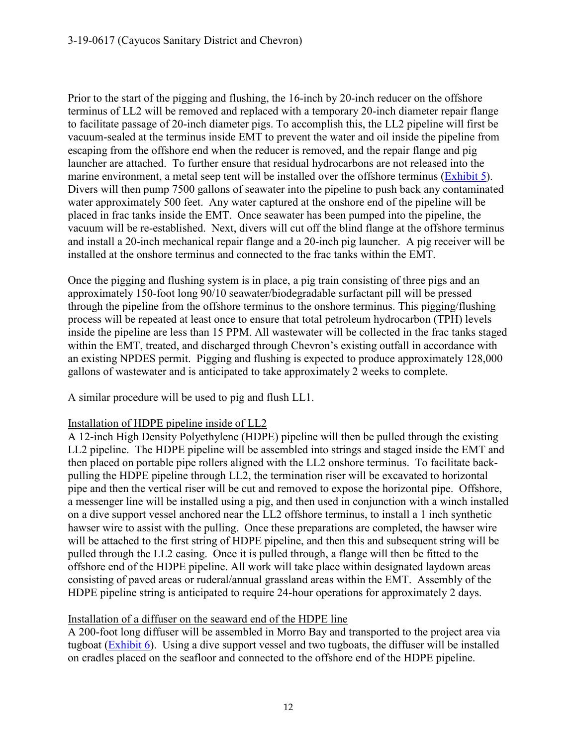Prior to the start of the pigging and flushing, the 16-inch by 20-inch reducer on the offshore terminus of LL2 will be removed and replaced with a temporary 20-inch diameter repair flange to facilitate passage of 20-inch diameter pigs. To accomplish this, the LL2 pipeline will first be vacuum-sealed at the terminus inside EMT to prevent the water and oil inside the pipeline from escaping from the offshore end when the reducer is removed, and the repair flange and pig launcher are attached. To further ensure that residual hydrocarbons are not released into the marine environment, a metal seep tent will be installed over the offshore terminus [\(Exhibit 5\)](https://documents.coastal.ca.gov/reports/2019/9/w15a/w15a-9-2019-exhibits.pdf). Divers will then pump 7500 gallons of seawater into the pipeline to push back any contaminated water approximately 500 feet. Any water captured at the onshore end of the pipeline will be placed in frac tanks inside the EMT. Once seawater has been pumped into the pipeline, the vacuum will be re-established. Next, divers will cut off the blind flange at the offshore terminus and install a 20-inch mechanical repair flange and a 20-inch pig launcher. A pig receiver will be installed at the onshore terminus and connected to the frac tanks within the EMT.

Once the pigging and flushing system is in place, a pig train consisting of three pigs and an approximately 150-foot long 90/10 seawater/biodegradable surfactant pill will be pressed through the pipeline from the offshore terminus to the onshore terminus. This pigging/flushing process will be repeated at least once to ensure that total petroleum hydrocarbon (TPH) levels inside the pipeline are less than 15 PPM. All wastewater will be collected in the frac tanks staged within the EMT, treated, and discharged through Chevron's existing outfall in accordance with an existing NPDES permit. Pigging and flushing is expected to produce approximately 128,000 gallons of wastewater and is anticipated to take approximately 2 weeks to complete.

A similar procedure will be used to pig and flush LL1.

## Installation of HDPE pipeline inside of LL2

A 12-inch High Density Polyethylene (HDPE) pipeline will then be pulled through the existing LL2 pipeline. The HDPE pipeline will be assembled into strings and staged inside the EMT and then placed on portable pipe rollers aligned with the LL2 onshore terminus. To facilitate backpulling the HDPE pipeline through LL2, the termination riser will be excavated to horizontal pipe and then the vertical riser will be cut and removed to expose the horizontal pipe. Offshore, a messenger line will be installed using a pig, and then used in conjunction with a winch installed on a dive support vessel anchored near the LL2 offshore terminus, to install a 1 inch synthetic hawser wire to assist with the pulling. Once these preparations are completed, the hawser wire will be attached to the first string of HDPE pipeline, and then this and subsequent string will be pulled through the LL2 casing. Once it is pulled through, a flange will then be fitted to the offshore end of the HDPE pipeline. All work will take place within designated laydown areas consisting of paved areas or ruderal/annual grassland areas within the EMT. Assembly of the HDPE pipeline string is anticipated to require 24-hour operations for approximately 2 days.

## Installation of a diffuser on the seaward end of the HDPE line

A 200-foot long diffuser will be assembled in Morro Bay and transported to the project area via tugboat [\(Exhibit 6\)](https://documents.coastal.ca.gov/reports/2019/9/w15a/w15a-9-2019-exhibits.pdf). Using a dive support vessel and two tugboats, the diffuser will be installed on cradles placed on the seafloor and connected to the offshore end of the HDPE pipeline.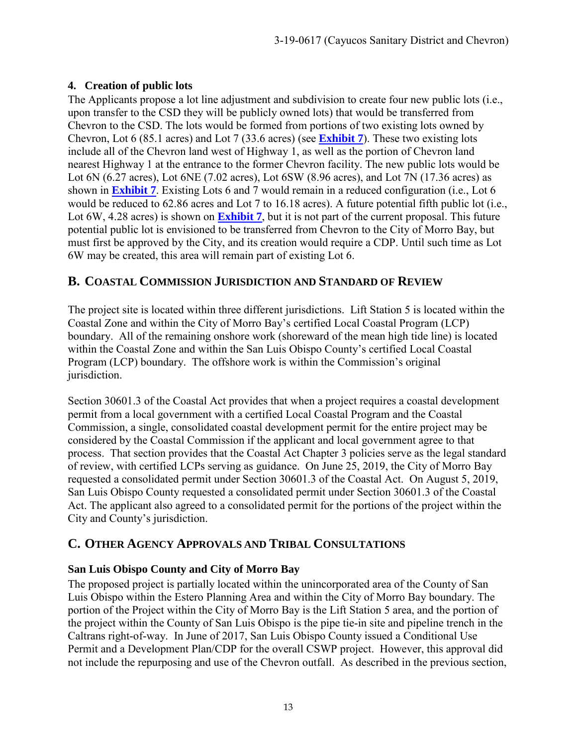## **4. Creation of public lots**

The Applicants propose a lot line adjustment and subdivision to create four new public lots (i.e., upon transfer to the CSD they will be publicly owned lots) that would be transferred from Chevron to the CSD. The lots would be formed from portions of two existing lots owned by Chevron, Lot 6 (85.1 acres) and Lot 7 (33.6 acres) (see **[Exhibit 7](https://documents.coastal.ca.gov/reports/2019/9/w15a/w15a-9-2019-exhibits.pdf)**). These two existing lots include all of the Chevron land west of Highway 1, as well as the portion of Chevron land nearest Highway 1 at the entrance to the former Chevron facility. The new public lots would be Lot 6N (6.27 acres), Lot 6NE (7.02 acres), Lot 6SW (8.96 acres), and Lot 7N (17.36 acres) as shown in **[Exhibit 7](https://documents.coastal.ca.gov/reports/2019/9/w15a/w15a-9-2019-exhibits.pdf)**. Existing Lots 6 and 7 would remain in a reduced configuration (i.e., Lot 6 would be reduced to 62.86 acres and Lot 7 to 16.18 acres). A future potential fifth public lot (i.e., Lot 6W, 4.28 acres) is shown on **[Exhibit 7](https://documents.coastal.ca.gov/reports/2019/9/w15a/w15a-9-2019-exhibits.pdf)**, but it is not part of the current proposal. This future potential public lot is envisioned to be transferred from Chevron to the City of Morro Bay, but must first be approved by the City, and its creation would require a CDP. Until such time as Lot 6W may be created, this area will remain part of existing Lot 6.

# <span id="page-12-0"></span>**B. COASTAL COMMISSION JURISDICTION AND STANDARD OF REVIEW**

The project site is located within three different jurisdictions. Lift Station 5 is located within the Coastal Zone and within the City of Morro Bay's certified Local Coastal Program (LCP) boundary. All of the remaining onshore work (shoreward of the mean high tide line) is located within the Coastal Zone and within the San Luis Obispo County's certified Local Coastal Program (LCP) boundary. The offshore work is within the Commission's original jurisdiction.

Section 30601.3 of the Coastal Act provides that when a project requires a coastal development permit from a local government with a certified Local Coastal Program and the Coastal Commission, a single, consolidated coastal development permit for the entire project may be considered by the Coastal Commission if the applicant and local government agree to that process. That section provides that the Coastal Act Chapter 3 policies serve as the legal standard of review, with certified LCPs serving as guidance. On June 25, 2019, the City of Morro Bay requested a consolidated permit under Section 30601.3 of the Coastal Act. On August 5, 2019, San Luis Obispo County requested a consolidated permit under Section 30601.3 of the Coastal Act. The applicant also agreed to a consolidated permit for the portions of the project within the City and County's jurisdiction.

# <span id="page-12-1"></span>**C. OTHER AGENCY APPROVALS AND TRIBAL CONSULTATIONS**

## **San Luis Obispo County and City of Morro Bay**

The proposed project is partially located within the unincorporated area of the County of San Luis Obispo within the Estero Planning Area and within the City of Morro Bay boundary. The portion of the Project within the City of Morro Bay is the Lift Station 5 area, and the portion of the project within the County of San Luis Obispo is the pipe tie-in site and pipeline trench in the Caltrans right-of-way. In June of 2017, San Luis Obispo County issued a Conditional Use Permit and a Development Plan/CDP for the overall CSWP project. However, this approval did not include the repurposing and use of the Chevron outfall. As described in the previous section,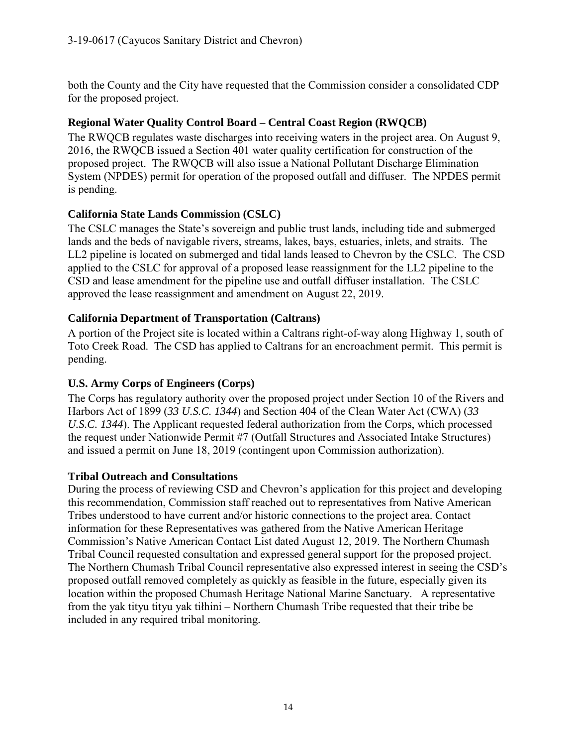both the County and the City have requested that the Commission consider a consolidated CDP for the proposed project.

## **Regional Water Quality Control Board – Central Coast Region (RWQCB)**

The RWQCB regulates waste discharges into receiving waters in the project area. On August 9, 2016, the RWQCB issued a Section 401 water quality certification for construction of the proposed project. The RWQCB will also issue a National Pollutant Discharge Elimination System (NPDES) permit for operation of the proposed outfall and diffuser. The NPDES permit is pending.

## **California State Lands Commission (CSLC)**

The CSLC manages the State's sovereign and public trust lands, including tide and submerged lands and the beds of navigable rivers, streams, lakes, bays, estuaries, inlets, and straits. The LL2 pipeline is located on submerged and tidal lands leased to Chevron by the CSLC. The CSD applied to the CSLC for approval of a proposed lease reassignment for the LL2 pipeline to the CSD and lease amendment for the pipeline use and outfall diffuser installation. The CSLC approved the lease reassignment and amendment on August 22, 2019.

## **California Department of Transportation (Caltrans)**

A portion of the Project site is located within a Caltrans right-of-way along Highway 1, south of Toto Creek Road. The CSD has applied to Caltrans for an encroachment permit. This permit is pending.

## **U.S. Army Corps of Engineers (Corps)**

The Corps has regulatory authority over the proposed project under Section 10 of the Rivers and Harbors Act of 1899 (*33 U.S.C. 1344*) and Section 404 of the Clean Water Act (CWA) (*33 U.S.C. 1344*). The Applicant requested federal authorization from the Corps, which processed the request under Nationwide Permit #7 (Outfall Structures and Associated Intake Structures) and issued a permit on June 18, 2019 (contingent upon Commission authorization).

## **Tribal Outreach and Consultations**

During the process of reviewing CSD and Chevron's application for this project and developing this recommendation, Commission staff reached out to representatives from Native American Tribes understood to have current and/or historic connections to the project area. Contact information for these Representatives was gathered from the Native American Heritage Commission's Native American Contact List dated August 12, 2019. The Northern Chumash Tribal Council requested consultation and expressed general support for the proposed project. The Northern Chumash Tribal Council representative also expressed interest in seeing the CSD's proposed outfall removed completely as quickly as feasible in the future, especially given its location within the proposed Chumash Heritage National Marine Sanctuary. A representative from the yak tityu tityu yak tiłhini – Northern Chumash Tribe requested that their tribe be included in any required tribal monitoring.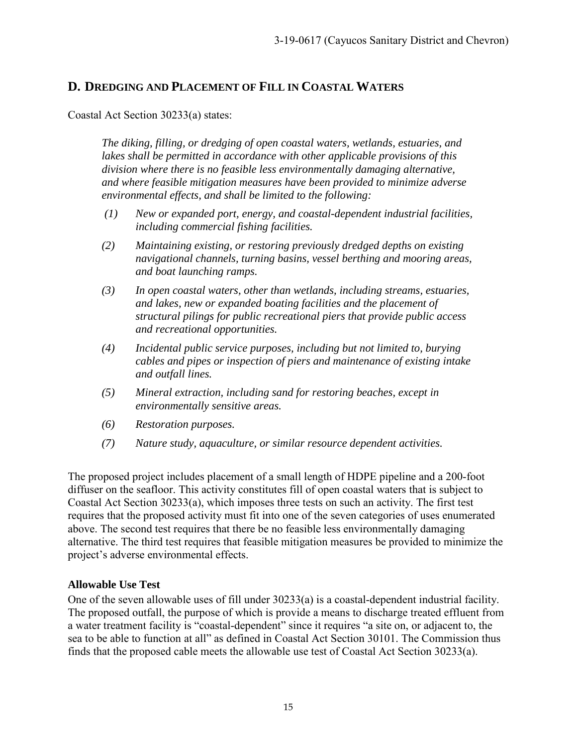## <span id="page-14-0"></span>**D. DREDGING AND PLACEMENT OF FILL IN COASTAL WATERS**

Coastal Act Section 30233(a) states:

*The diking, filling, or dredging of open coastal waters, wetlands, estuaries, and lakes shall be permitted in accordance with other applicable provisions of this division where there is no feasible less environmentally damaging alternative, and where feasible mitigation measures have been provided to minimize adverse environmental effects, and shall be limited to the following:* 

- *(1) New or expanded port, energy, and coastal-dependent industrial facilities, including commercial fishing facilities.*
- *(2) Maintaining existing, or restoring previously dredged depths on existing navigational channels, turning basins, vessel berthing and mooring areas, and boat launching ramps.*
- *(3) In open coastal waters, other than wetlands, including streams, estuaries, and lakes, new or expanded boating facilities and the placement of structural pilings for public recreational piers that provide public access and recreational opportunities.*
- *(4) Incidental public service purposes, including but not limited to, burying cables and pipes or inspection of piers and maintenance of existing intake and outfall lines.*
- *(5) Mineral extraction, including sand for restoring beaches, except in environmentally sensitive areas.*
- *(6) Restoration purposes.*
- *(7) Nature study, aquaculture, or similar resource dependent activities.*

The proposed project includes placement of a small length of HDPE pipeline and a 200-foot diffuser on the seafloor. This activity constitutes fill of open coastal waters that is subject to Coastal Act Section 30233(a), which imposes three tests on such an activity. The first test requires that the proposed activity must fit into one of the seven categories of uses enumerated above. The second test requires that there be no feasible less environmentally damaging alternative. The third test requires that feasible mitigation measures be provided to minimize the project's adverse environmental effects.

#### **Allowable Use Test**

One of the seven allowable uses of fill under 30233(a) is a coastal-dependent industrial facility. The proposed outfall, the purpose of which is provide a means to discharge treated effluent from a water treatment facility is "coastal-dependent" since it requires "a site on, or adjacent to, the sea to be able to function at all" as defined in Coastal Act Section 30101. The Commission thus finds that the proposed cable meets the allowable use test of Coastal Act Section 30233(a).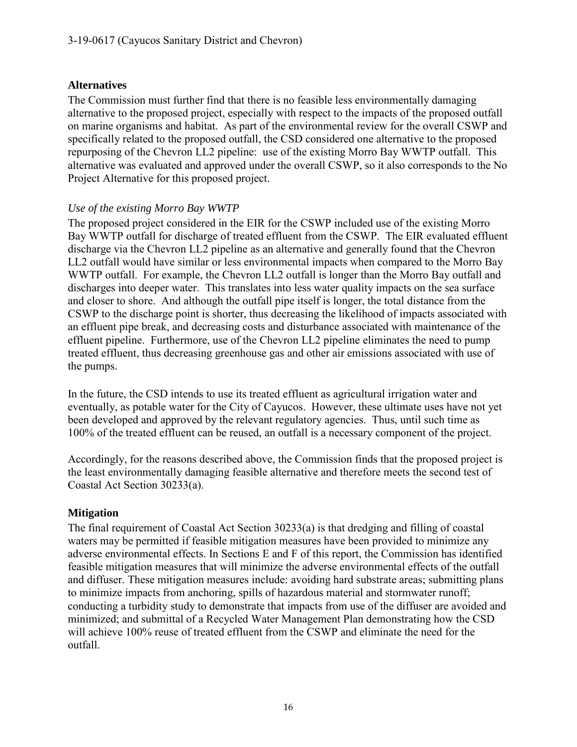#### **Alternatives**

The Commission must further find that there is no feasible less environmentally damaging alternative to the proposed project, especially with respect to the impacts of the proposed outfall on marine organisms and habitat. As part of the environmental review for the overall CSWP and specifically related to the proposed outfall, the CSD considered one alternative to the proposed repurposing of the Chevron LL2 pipeline: use of the existing Morro Bay WWTP outfall. This alternative was evaluated and approved under the overall CSWP, so it also corresponds to the No Project Alternative for this proposed project.

#### *Use of the existing Morro Bay WWTP*

The proposed project considered in the EIR for the CSWP included use of the existing Morro Bay WWTP outfall for discharge of treated effluent from the CSWP. The EIR evaluated effluent discharge via the Chevron LL2 pipeline as an alternative and generally found that the Chevron LL2 outfall would have similar or less environmental impacts when compared to the Morro Bay WWTP outfall. For example, the Chevron LL2 outfall is longer than the Morro Bay outfall and discharges into deeper water. This translates into less water quality impacts on the sea surface and closer to shore. And although the outfall pipe itself is longer, the total distance from the CSWP to the discharge point is shorter, thus decreasing the likelihood of impacts associated with an effluent pipe break, and decreasing costs and disturbance associated with maintenance of the effluent pipeline. Furthermore, use of the Chevron LL2 pipeline eliminates the need to pump treated effluent, thus decreasing greenhouse gas and other air emissions associated with use of the pumps.

In the future, the CSD intends to use its treated effluent as agricultural irrigation water and eventually, as potable water for the City of Cayucos. However, these ultimate uses have not yet been developed and approved by the relevant regulatory agencies. Thus, until such time as 100% of the treated effluent can be reused, an outfall is a necessary component of the project.

Accordingly, for the reasons described above, the Commission finds that the proposed project is the least environmentally damaging feasible alternative and therefore meets the second test of Coastal Act Section 30233(a).

#### **Mitigation**

The final requirement of Coastal Act Section 30233(a) is that dredging and filling of coastal waters may be permitted if feasible mitigation measures have been provided to minimize any adverse environmental effects. In Sections E and F of this report, the Commission has identified feasible mitigation measures that will minimize the adverse environmental effects of the outfall and diffuser. These mitigation measures include: avoiding hard substrate areas; submitting plans to minimize impacts from anchoring, spills of hazardous material and stormwater runoff; conducting a turbidity study to demonstrate that impacts from use of the diffuser are avoided and minimized; and submittal of a Recycled Water Management Plan demonstrating how the CSD will achieve 100% reuse of treated effluent from the CSWP and eliminate the need for the outfall.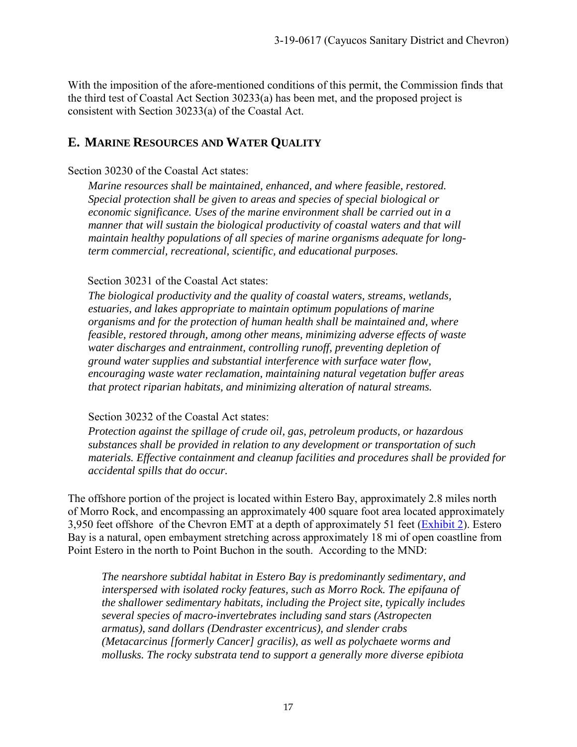With the imposition of the afore-mentioned conditions of this permit, the Commission finds that the third test of Coastal Act Section 30233(a) has been met, and the proposed project is consistent with Section 30233(a) of the Coastal Act.

## <span id="page-16-0"></span>**E. MARINE RESOURCES AND WATER QUALITY**

#### Section 30230 of the Coastal Act states:

*Marine resources shall be maintained, enhanced, and where feasible, restored. Special protection shall be given to areas and species of special biological or economic significance. Uses of the marine environment shall be carried out in a manner that will sustain the biological productivity of coastal waters and that will maintain healthy populations of all species of marine organisms adequate for longterm commercial, recreational, scientific, and educational purposes.* 

#### Section 30231 of the Coastal Act states:

*The biological productivity and the quality of coastal waters, streams, wetlands, estuaries, and lakes appropriate to maintain optimum populations of marine organisms and for the protection of human health shall be maintained and, where feasible, restored through, among other means, minimizing adverse effects of waste water discharges and entrainment, controlling runoff, preventing depletion of ground water supplies and substantial interference with surface water flow, encouraging waste water reclamation, maintaining natural vegetation buffer areas that protect riparian habitats, and minimizing alteration of natural streams.* 

#### Section 30232 of the Coastal Act states:

*Protection against the spillage of crude oil, gas, petroleum products, or hazardous substances shall be provided in relation to any development or transportation of such materials. Effective containment and cleanup facilities and procedures shall be provided for accidental spills that do occur.* 

The offshore portion of the project is located within Estero Bay, approximately 2.8 miles north of Morro Rock, and encompassing an approximately 400 square foot area located approximately 3,950 feet offshore of the Chevron EMT at a depth of approximately 51 feet [\(Exhibit 2\)](https://documents.coastal.ca.gov/reports/2019/9/w15a/w15a-9-2019-exhibits.pdf). Estero Bay is a natural, open embayment stretching across approximately 18 mi of open coastline from Point Estero in the north to Point Buchon in the south. According to the MND:

*The nearshore subtidal habitat in Estero Bay is predominantly sedimentary, and interspersed with isolated rocky features, such as Morro Rock. The epifauna of the shallower sedimentary habitats, including the Project site, typically includes several species of macro-invertebrates including sand stars (Astropecten armatus), sand dollars (Dendraster excentricus), and slender crabs (Metacarcinus [formerly Cancer] gracilis), as well as polychaete worms and mollusks. The rocky substrata tend to support a generally more diverse epibiota*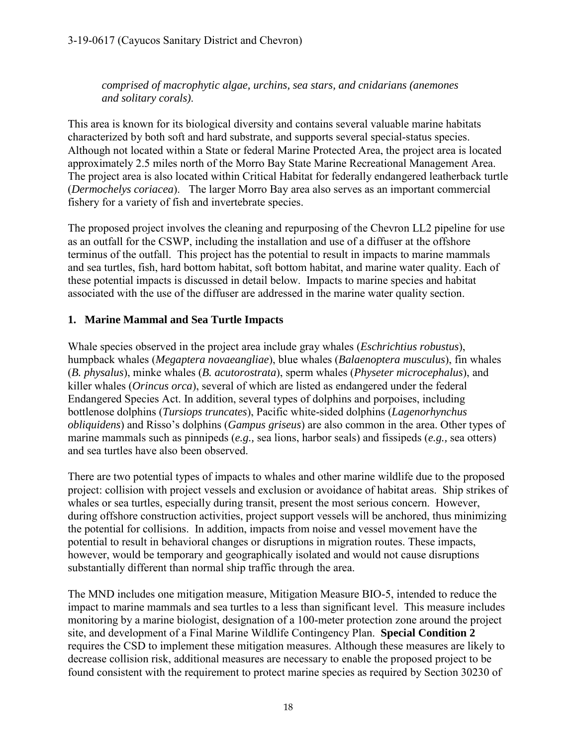*comprised of macrophytic algae, urchins, sea stars, and cnidarians (anemones and solitary corals)*.

This area is known for its biological diversity and contains several valuable marine habitats characterized by both soft and hard substrate, and supports several special-status species. Although not located within a State or federal Marine Protected Area, the project area is located approximately 2.5 miles north of the Morro Bay State Marine Recreational Management Area. The project area is also located within Critical Habitat for federally endangered leatherback turtle (*Dermochelys coriacea*). The larger Morro Bay area also serves as an important commercial fishery for a variety of fish and invertebrate species.

The proposed project involves the cleaning and repurposing of the Chevron LL2 pipeline for use as an outfall for the CSWP, including the installation and use of a diffuser at the offshore terminus of the outfall. This project has the potential to result in impacts to marine mammals and sea turtles, fish, hard bottom habitat, soft bottom habitat, and marine water quality. Each of these potential impacts is discussed in detail below. Impacts to marine species and habitat associated with the use of the diffuser are addressed in the marine water quality section.

## **1. Marine Mammal and Sea Turtle Impacts**

Whale species observed in the project area include gray whales (*Eschrichtius robustus*), humpback whales (*Megaptera novaeangliae*), blue whales (*Balaenoptera musculus*), fin whales (*B. physalus*), minke whales (*B. acutorostrata*), sperm whales (*Physeter microcephalus*), and killer whales (*Orincus orca*), several of which are listed as endangered under the federal Endangered Species Act. In addition, several types of dolphins and porpoises, including bottlenose dolphins (*Tursiops truncates*), Pacific white-sided dolphins (*Lagenorhynchus obliquidens*) and Risso's dolphins (*Gampus griseus*) are also common in the area. Other types of marine mammals such as pinnipeds (*e.g.,* sea lions, harbor seals) and fissipeds (*e.g.,* sea otters) and sea turtles have also been observed.

There are two potential types of impacts to whales and other marine wildlife due to the proposed project: collision with project vessels and exclusion or avoidance of habitat areas. Ship strikes of whales or sea turtles, especially during transit, present the most serious concern. However, during offshore construction activities, project support vessels will be anchored, thus minimizing the potential for collisions. In addition, impacts from noise and vessel movement have the potential to result in behavioral changes or disruptions in migration routes. These impacts, however, would be temporary and geographically isolated and would not cause disruptions substantially different than normal ship traffic through the area.

The MND includes one mitigation measure, Mitigation Measure BIO-5, intended to reduce the impact to marine mammals and sea turtles to a less than significant level. This measure includes monitoring by a marine biologist, designation of a 100-meter protection zone around the project site, and development of a Final Marine Wildlife Contingency Plan. **Special Condition 2** requires the CSD to implement these mitigation measures. Although these measures are likely to decrease collision risk, additional measures are necessary to enable the proposed project to be found consistent with the requirement to protect marine species as required by Section 30230 of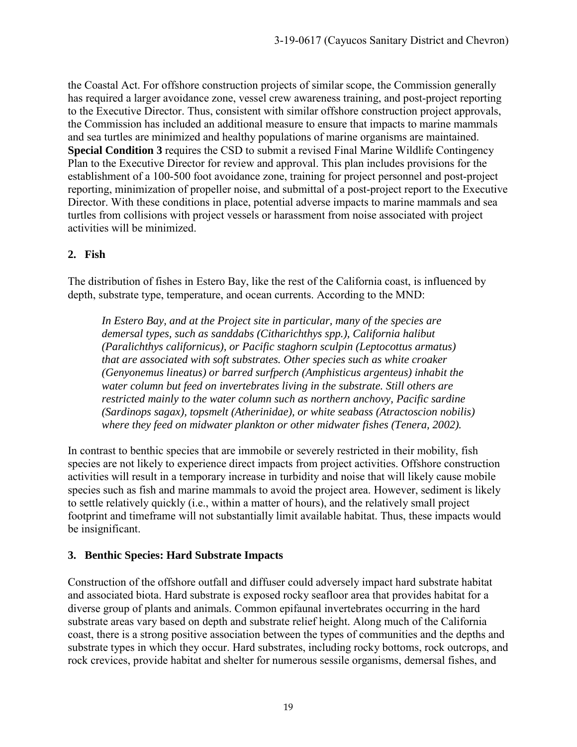the Coastal Act. For offshore construction projects of similar scope, the Commission generally has required a larger avoidance zone, vessel crew awareness training, and post-project reporting to the Executive Director. Thus, consistent with similar offshore construction project approvals, the Commission has included an additional measure to ensure that impacts to marine mammals and sea turtles are minimized and healthy populations of marine organisms are maintained. **Special Condition 3** requires the CSD to submit a revised Final Marine Wildlife Contingency Plan to the Executive Director for review and approval. This plan includes provisions for the establishment of a 100-500 foot avoidance zone, training for project personnel and post-project reporting, minimization of propeller noise, and submittal of a post-project report to the Executive Director. With these conditions in place, potential adverse impacts to marine mammals and sea turtles from collisions with project vessels or harassment from noise associated with project activities will be minimized.

#### **2. Fish**

The distribution of fishes in Estero Bay, like the rest of the California coast, is influenced by depth, substrate type, temperature, and ocean currents. According to the MND:

*In Estero Bay, and at the Project site in particular, many of the species are demersal types, such as sanddabs (Citharichthys spp.), California halibut (Paralichthys californicus), or Pacific staghorn sculpin (Leptocottus armatus) that are associated with soft substrates. Other species such as white croaker (Genyonemus lineatus) or barred surfperch (Amphisticus argenteus) inhabit the water column but feed on invertebrates living in the substrate. Still others are restricted mainly to the water column such as northern anchovy, Pacific sardine (Sardinops sagax), topsmelt (Atherinidae), or white seabass (Atractoscion nobilis) where they feed on midwater plankton or other midwater fishes (Tenera, 2002).* 

In contrast to benthic species that are immobile or severely restricted in their mobility, fish species are not likely to experience direct impacts from project activities. Offshore construction activities will result in a temporary increase in turbidity and noise that will likely cause mobile species such as fish and marine mammals to avoid the project area. However, sediment is likely to settle relatively quickly (i.e., within a matter of hours), and the relatively small project footprint and timeframe will not substantially limit available habitat. Thus, these impacts would be insignificant.

#### **3. Benthic Species: Hard Substrate Impacts**

Construction of the offshore outfall and diffuser could adversely impact hard substrate habitat and associated biota. Hard substrate is exposed rocky seafloor area that provides habitat for a diverse group of plants and animals. Common epifaunal invertebrates occurring in the hard substrate areas vary based on depth and substrate relief height. Along much of the California coast, there is a strong positive association between the types of communities and the depths and substrate types in which they occur. Hard substrates, including rocky bottoms, rock outcrops, and rock crevices, provide habitat and shelter for numerous sessile organisms, demersal fishes, and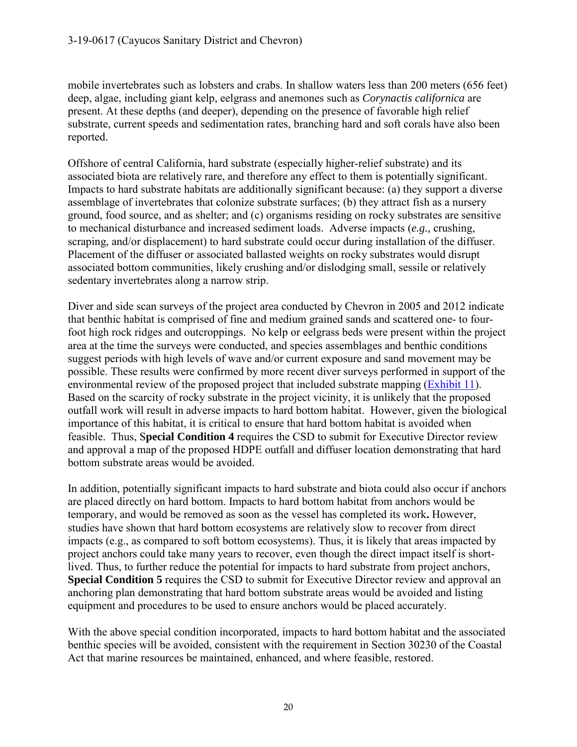mobile invertebrates such as lobsters and crabs. In shallow waters less than 200 meters (656 feet) deep, algae, including giant kelp, eelgrass and anemones such as *Corynactis californica* are present. At these depths (and deeper), depending on the presence of favorable high relief substrate, current speeds and sedimentation rates, branching hard and soft corals have also been reported.

Offshore of central California, hard substrate (especially higher-relief substrate) and its associated biota are relatively rare, and therefore any effect to them is potentially significant. Impacts to hard substrate habitats are additionally significant because: (a) they support a diverse assemblage of invertebrates that colonize substrate surfaces; (b) they attract fish as a nursery ground, food source, and as shelter; and (c) organisms residing on rocky substrates are sensitive to mechanical disturbance and increased sediment loads. Adverse impacts (*e.g.,* crushing, scraping, and/or displacement) to hard substrate could occur during installation of the diffuser. Placement of the diffuser or associated ballasted weights on rocky substrates would disrupt associated bottom communities, likely crushing and/or dislodging small, sessile or relatively sedentary invertebrates along a narrow strip.

Diver and side scan surveys of the project area conducted by Chevron in 2005 and 2012 indicate that benthic habitat is comprised of fine and medium grained sands and scattered one- to fourfoot high rock ridges and outcroppings. No kelp or eelgrass beds were present within the project area at the time the surveys were conducted, and species assemblages and benthic conditions suggest periods with high levels of wave and/or current exposure and sand movement may be possible. These results were confirmed by more recent diver surveys performed in support of the environmental review of the proposed project that included substrate mapping [\(Exhibit 11\)](https://documents.coastal.ca.gov/reports/2019/9/w15a/w15a-9-2019-exhibits.pdf). Based on the scarcity of rocky substrate in the project vicinity, it is unlikely that the proposed outfall work will result in adverse impacts to hard bottom habitat. However, given the biological importance of this habitat, it is critical to ensure that hard bottom habitat is avoided when feasible. Thus, S**pecial Condition 4** requires the CSD to submit for Executive Director review and approval a map of the proposed HDPE outfall and diffuser location demonstrating that hard bottom substrate areas would be avoided.

In addition, potentially significant impacts to hard substrate and biota could also occur if anchors are placed directly on hard bottom. Impacts to hard bottom habitat from anchors would be temporary, and would be removed as soon as the vessel has completed its work**.** However, studies have shown that hard bottom ecosystems are relatively slow to recover from direct impacts (e.g., as compared to soft bottom ecosystems). Thus, it is likely that areas impacted by project anchors could take many years to recover, even though the direct impact itself is shortlived. Thus, to further reduce the potential for impacts to hard substrate from project anchors, **Special Condition 5** requires the CSD to submit for Executive Director review and approval an anchoring plan demonstrating that hard bottom substrate areas would be avoided and listing equipment and procedures to be used to ensure anchors would be placed accurately.

With the above special condition incorporated, impacts to hard bottom habitat and the associated benthic species will be avoided, consistent with the requirement in Section 30230 of the Coastal Act that marine resources be maintained, enhanced, and where feasible, restored.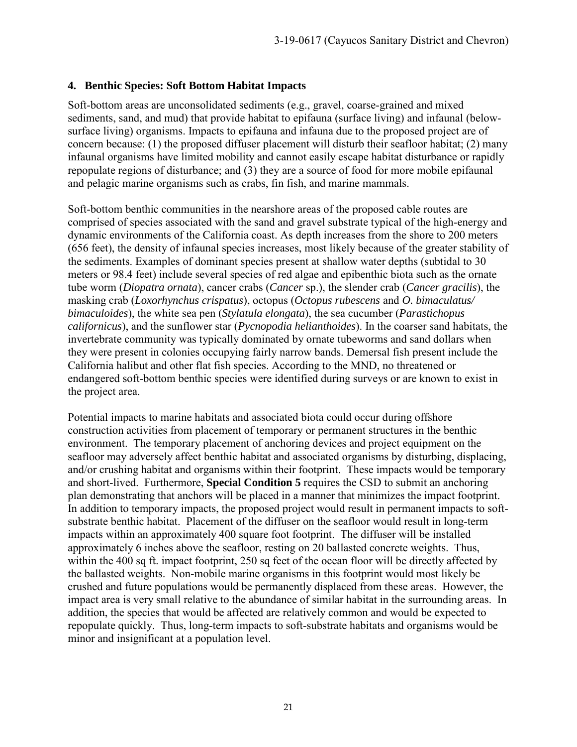#### **4. Benthic Species: Soft Bottom Habitat Impacts**

Soft-bottom areas are unconsolidated sediments (e.g., gravel, coarse-grained and mixed sediments, sand, and mud) that provide habitat to epifauna (surface living) and infaunal (belowsurface living) organisms. Impacts to epifauna and infauna due to the proposed project are of concern because: (1) the proposed diffuser placement will disturb their seafloor habitat; (2) many infaunal organisms have limited mobility and cannot easily escape habitat disturbance or rapidly repopulate regions of disturbance; and (3) they are a source of food for more mobile epifaunal and pelagic marine organisms such as crabs, fin fish, and marine mammals.

Soft-bottom benthic communities in the nearshore areas of the proposed cable routes are comprised of species associated with the sand and gravel substrate typical of the high-energy and dynamic environments of the California coast. As depth increases from the shore to 200 meters (656 feet), the density of infaunal species increases, most likely because of the greater stability of the sediments. Examples of dominant species present at shallow water depths (subtidal to 30 meters or 98.4 feet) include several species of red algae and epibenthic biota such as the ornate tube worm (*Diopatra ornata*), cancer crabs (*Cancer* sp.), the slender crab (*Cancer gracilis*), the masking crab (*Loxorhynchus crispatus*), octopus (*Octopus rubescens* and *O. bimaculatus/ bimaculoides*), the white sea pen (*Stylatula elongata*), the sea cucumber (*Parastichopus californicus*), and the sunflower star (*Pycnopodia helianthoides*). In the coarser sand habitats, the invertebrate community was typically dominated by ornate tubeworms and sand dollars when they were present in colonies occupying fairly narrow bands. Demersal fish present include the California halibut and other flat fish species. According to the MND, no threatened or endangered soft-bottom benthic species were identified during surveys or are known to exist in the project area.

Potential impacts to marine habitats and associated biota could occur during offshore construction activities from placement of temporary or permanent structures in the benthic environment. The temporary placement of anchoring devices and project equipment on the seafloor may adversely affect benthic habitat and associated organisms by disturbing, displacing, and/or crushing habitat and organisms within their footprint. These impacts would be temporary and short-lived. Furthermore, **Special Condition 5** requires the CSD to submit an anchoring plan demonstrating that anchors will be placed in a manner that minimizes the impact footprint. In addition to temporary impacts, the proposed project would result in permanent impacts to softsubstrate benthic habitat. Placement of the diffuser on the seafloor would result in long-term impacts within an approximately 400 square foot footprint. The diffuser will be installed approximately 6 inches above the seafloor, resting on 20 ballasted concrete weights. Thus, within the 400 sq ft. impact footprint, 250 sq feet of the ocean floor will be directly affected by the ballasted weights. Non-mobile marine organisms in this footprint would most likely be crushed and future populations would be permanently displaced from these areas. However, the impact area is very small relative to the abundance of similar habitat in the surrounding areas. In addition, the species that would be affected are relatively common and would be expected to repopulate quickly. Thus, long-term impacts to soft-substrate habitats and organisms would be minor and insignificant at a population level.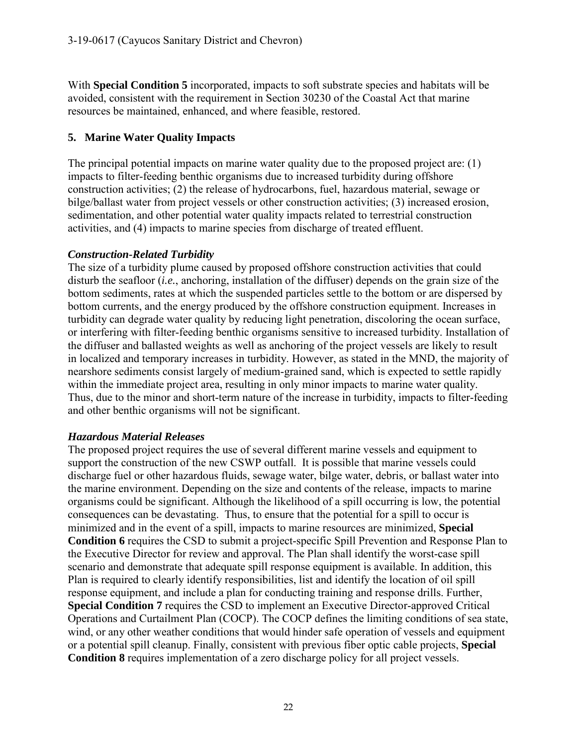With **Special Condition 5** incorporated, impacts to soft substrate species and habitats will be avoided, consistent with the requirement in Section 30230 of the Coastal Act that marine resources be maintained, enhanced, and where feasible, restored.

## **5. Marine Water Quality Impacts**

The principal potential impacts on marine water quality due to the proposed project are: (1) impacts to filter-feeding benthic organisms due to increased turbidity during offshore construction activities; (2) the release of hydrocarbons, fuel, hazardous material, sewage or bilge/ballast water from project vessels or other construction activities; (3) increased erosion, sedimentation, and other potential water quality impacts related to terrestrial construction activities, and (4) impacts to marine species from discharge of treated effluent.

#### *Construction-Related Turbidity*

The size of a turbidity plume caused by proposed offshore construction activities that could disturb the seafloor (*i.e.*, anchoring, installation of the diffuser) depends on the grain size of the bottom sediments, rates at which the suspended particles settle to the bottom or are dispersed by bottom currents, and the energy produced by the offshore construction equipment. Increases in turbidity can degrade water quality by reducing light penetration, discoloring the ocean surface, or interfering with filter-feeding benthic organisms sensitive to increased turbidity. Installation of the diffuser and ballasted weights as well as anchoring of the project vessels are likely to result in localized and temporary increases in turbidity. However, as stated in the MND, the majority of nearshore sediments consist largely of medium-grained sand, which is expected to settle rapidly within the immediate project area, resulting in only minor impacts to marine water quality. Thus, due to the minor and short-term nature of the increase in turbidity, impacts to filter-feeding and other benthic organisms will not be significant.

#### *Hazardous Material Releases*

The proposed project requires the use of several different marine vessels and equipment to support the construction of the new CSWP outfall. It is possible that marine vessels could discharge fuel or other hazardous fluids, sewage water, bilge water, debris, or ballast water into the marine environment. Depending on the size and contents of the release, impacts to marine organisms could be significant. Although the likelihood of a spill occurring is low, the potential consequences can be devastating. Thus, to ensure that the potential for a spill to occur is minimized and in the event of a spill, impacts to marine resources are minimized, **Special Condition 6** requires the CSD to submit a project-specific Spill Prevention and Response Plan to the Executive Director for review and approval. The Plan shall identify the worst-case spill scenario and demonstrate that adequate spill response equipment is available. In addition, this Plan is required to clearly identify responsibilities, list and identify the location of oil spill response equipment, and include a plan for conducting training and response drills. Further, **Special Condition 7** requires the CSD to implement an Executive Director-approved Critical Operations and Curtailment Plan (COCP). The COCP defines the limiting conditions of sea state, wind, or any other weather conditions that would hinder safe operation of vessels and equipment or a potential spill cleanup. Finally, consistent with previous fiber optic cable projects, **Special Condition 8** requires implementation of a zero discharge policy for all project vessels.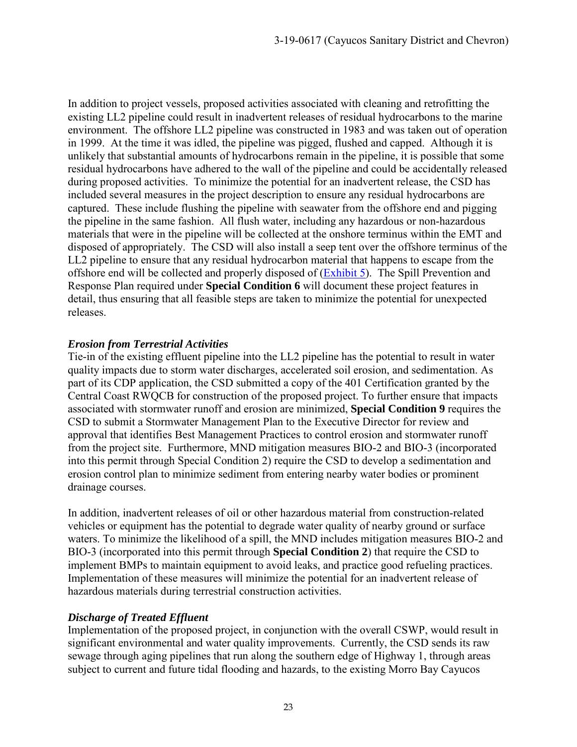In addition to project vessels, proposed activities associated with cleaning and retrofitting the existing LL2 pipeline could result in inadvertent releases of residual hydrocarbons to the marine environment. The offshore LL2 pipeline was constructed in 1983 and was taken out of operation in 1999. At the time it was idled, the pipeline was pigged, flushed and capped. Although it is unlikely that substantial amounts of hydrocarbons remain in the pipeline, it is possible that some residual hydrocarbons have adhered to the wall of the pipeline and could be accidentally released during proposed activities. To minimize the potential for an inadvertent release, the CSD has included several measures in the project description to ensure any residual hydrocarbons are captured. These include flushing the pipeline with seawater from the offshore end and pigging the pipeline in the same fashion. All flush water, including any hazardous or non-hazardous materials that were in the pipeline will be collected at the onshore terminus within the EMT and disposed of appropriately. The CSD will also install a seep tent over the offshore terminus of the LL2 pipeline to ensure that any residual hydrocarbon material that happens to escape from the offshore end will be collected and properly disposed of [\(Exhibit 5\)](https://documents.coastal.ca.gov/reports/2019/9/w15a/w15a-9-2019-exhibits.pdf). The Spill Prevention and Response Plan required under **Special Condition 6** will document these project features in detail, thus ensuring that all feasible steps are taken to minimize the potential for unexpected releases.

#### *Erosion from Terrestrial Activities*

Tie-in of the existing effluent pipeline into the LL2 pipeline has the potential to result in water quality impacts due to storm water discharges, accelerated soil erosion, and sedimentation. As part of its CDP application, the CSD submitted a copy of the 401 Certification granted by the Central Coast RWQCB for construction of the proposed project. To further ensure that impacts associated with stormwater runoff and erosion are minimized, **Special Condition 9** requires the CSD to submit a Stormwater Management Plan to the Executive Director for review and approval that identifies Best Management Practices to control erosion and stormwater runoff from the project site. Furthermore, MND mitigation measures BIO-2 and BIO-3 (incorporated into this permit through Special Condition 2) require the CSD to develop a sedimentation and erosion control plan to minimize sediment from entering nearby water bodies or prominent drainage courses.

In addition, inadvertent releases of oil or other hazardous material from construction-related vehicles or equipment has the potential to degrade water quality of nearby ground or surface waters. To minimize the likelihood of a spill, the MND includes mitigation measures BIO-2 and BIO-3 (incorporated into this permit through **Special Condition 2**) that require the CSD to implement BMPs to maintain equipment to avoid leaks, and practice good refueling practices. Implementation of these measures will minimize the potential for an inadvertent release of hazardous materials during terrestrial construction activities.

#### *Discharge of Treated Effluent*

Implementation of the proposed project, in conjunction with the overall CSWP, would result in significant environmental and water quality improvements. Currently, the CSD sends its raw sewage through aging pipelines that run along the southern edge of Highway 1, through areas subject to current and future tidal flooding and hazards, to the existing Morro Bay Cayucos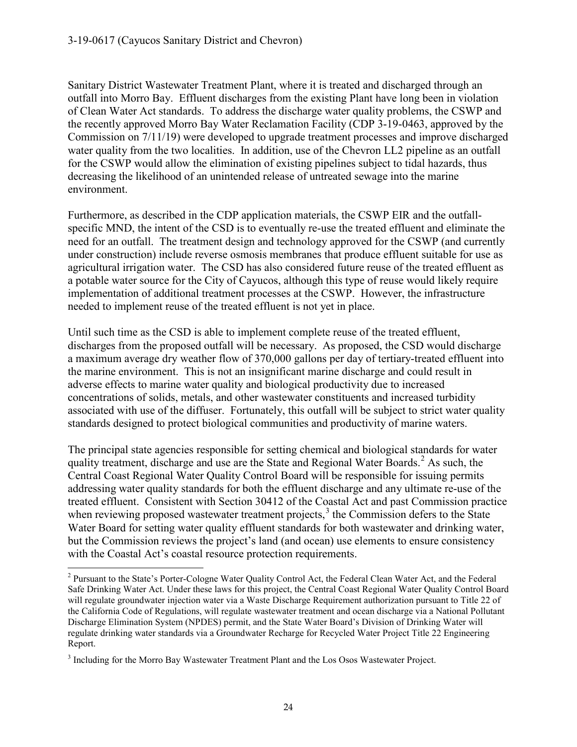Sanitary District Wastewater Treatment Plant, where it is treated and discharged through an outfall into Morro Bay. Effluent discharges from the existing Plant have long been in violation of Clean Water Act standards. To address the discharge water quality problems, the CSWP and the recently approved Morro Bay Water Reclamation Facility (CDP 3-19-0463, approved by the Commission on 7/11/19) were developed to upgrade treatment processes and improve discharged water quality from the two localities. In addition, use of the Chevron LL2 pipeline as an outfall for the CSWP would allow the elimination of existing pipelines subject to tidal hazards, thus decreasing the likelihood of an unintended release of untreated sewage into the marine environment.

Furthermore, as described in the CDP application materials, the CSWP EIR and the outfallspecific MND, the intent of the CSD is to eventually re-use the treated effluent and eliminate the need for an outfall. The treatment design and technology approved for the CSWP (and currently under construction) include reverse osmosis membranes that produce effluent suitable for use as agricultural irrigation water. The CSD has also considered future reuse of the treated effluent as a potable water source for the City of Cayucos, although this type of reuse would likely require implementation of additional treatment processes at the CSWP. However, the infrastructure needed to implement reuse of the treated effluent is not yet in place.

Until such time as the CSD is able to implement complete reuse of the treated effluent, discharges from the proposed outfall will be necessary. As proposed, the CSD would discharge a maximum average dry weather flow of 370,000 gallons per day of tertiary-treated effluent into the marine environment. This is not an insignificant marine discharge and could result in adverse effects to marine water quality and biological productivity due to increased concentrations of solids, metals, and other wastewater constituents and increased turbidity associated with use of the diffuser. Fortunately, this outfall will be subject to strict water quality standards designed to protect biological communities and productivity of marine waters.

The principal state agencies responsible for setting chemical and biological standards for water quality treatment, discharge and use are the State and Regional Water Boards. [2](#page-23-0) As such, the Central Coast Regional Water Quality Control Board will be responsible for issuing permits addressing water quality standards for both the effluent discharge and any ultimate re-use of the treated effluent. Consistent with Section 30412 of the Coastal Act and past Commission practice when reviewing proposed wastewater treatment projects.<sup>[3](#page-23-1)</sup> the Commission defers to the State Water Board for setting water quality effluent standards for both wastewater and drinking water, but the Commission reviews the project's land (and ocean) use elements to ensure consistency with the Coastal Act's coastal resource protection requirements.

<span id="page-23-0"></span> $\overline{a}$ <sup>2</sup> Pursuant to the State's Porter-Cologne Water Quality Control Act, the Federal Clean Water Act, and the Federal Safe Drinking Water Act. Under these laws for this project, the Central Coast Regional Water Quality Control Board will regulate groundwater injection water via a Waste Discharge Requirement authorization pursuant to Title 22 of the California Code of Regulations, will regulate wastewater treatment and ocean discharge via a National Pollutant Discharge Elimination System (NPDES) permit, and the State Water Board's Division of Drinking Water will regulate drinking water standards via a Groundwater Recharge for Recycled Water Project Title 22 Engineering Report.

<span id="page-23-1"></span><sup>3</sup> Including for the Morro Bay Wastewater Treatment Plant and the Los Osos Wastewater Project.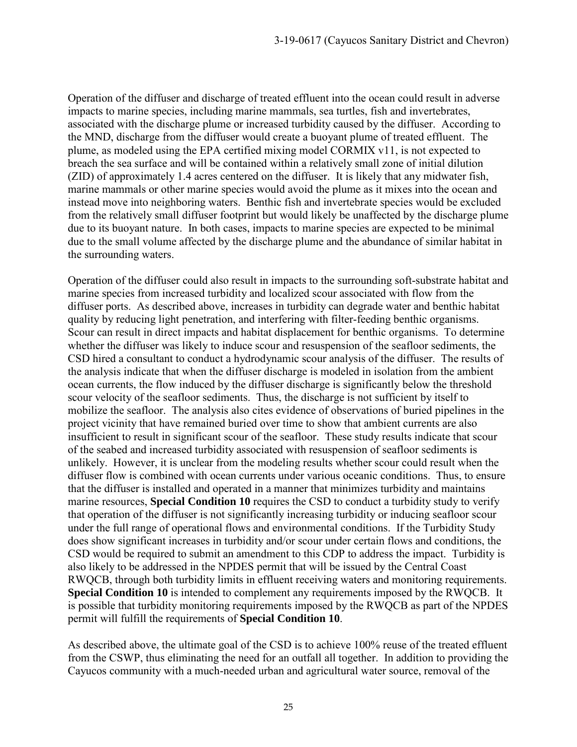Operation of the diffuser and discharge of treated effluent into the ocean could result in adverse impacts to marine species, including marine mammals, sea turtles, fish and invertebrates, associated with the discharge plume or increased turbidity caused by the diffuser. According to the MND, discharge from the diffuser would create a buoyant plume of treated effluent. The plume, as modeled using the EPA certified mixing model CORMIX v11, is not expected to breach the sea surface and will be contained within a relatively small zone of initial dilution (ZID) of approximately 1.4 acres centered on the diffuser. It is likely that any midwater fish, marine mammals or other marine species would avoid the plume as it mixes into the ocean and instead move into neighboring waters. Benthic fish and invertebrate species would be excluded from the relatively small diffuser footprint but would likely be unaffected by the discharge plume due to its buoyant nature. In both cases, impacts to marine species are expected to be minimal due to the small volume affected by the discharge plume and the abundance of similar habitat in the surrounding waters.

Operation of the diffuser could also result in impacts to the surrounding soft-substrate habitat and marine species from increased turbidity and localized scour associated with flow from the diffuser ports. As described above, increases in turbidity can degrade water and benthic habitat quality by reducing light penetration, and interfering with filter-feeding benthic organisms. Scour can result in direct impacts and habitat displacement for benthic organisms. To determine whether the diffuser was likely to induce scour and resuspension of the seafloor sediments, the CSD hired a consultant to conduct a hydrodynamic scour analysis of the diffuser. The results of the analysis indicate that when the diffuser discharge is modeled in isolation from the ambient ocean currents, the flow induced by the diffuser discharge is significantly below the threshold scour velocity of the seafloor sediments. Thus, the discharge is not sufficient by itself to mobilize the seafloor. The analysis also cites evidence of observations of buried pipelines in the project vicinity that have remained buried over time to show that ambient currents are also insufficient to result in significant scour of the seafloor. These study results indicate that scour of the seabed and increased turbidity associated with resuspension of seafloor sediments is unlikely. However, it is unclear from the modeling results whether scour could result when the diffuser flow is combined with ocean currents under various oceanic conditions. Thus, to ensure that the diffuser is installed and operated in a manner that minimizes turbidity and maintains marine resources, **Special Condition 10** requires the CSD to conduct a turbidity study to verify that operation of the diffuser is not significantly increasing turbidity or inducing seafloor scour under the full range of operational flows and environmental conditions. If the Turbidity Study does show significant increases in turbidity and/or scour under certain flows and conditions, the CSD would be required to submit an amendment to this CDP to address the impact. Turbidity is also likely to be addressed in the NPDES permit that will be issued by the Central Coast RWQCB, through both turbidity limits in effluent receiving waters and monitoring requirements. **Special Condition 10** is intended to complement any requirements imposed by the RWQCB. It is possible that turbidity monitoring requirements imposed by the RWQCB as part of the NPDES permit will fulfill the requirements of **Special Condition 10**.

As described above, the ultimate goal of the CSD is to achieve 100% reuse of the treated effluent from the CSWP, thus eliminating the need for an outfall all together. In addition to providing the Cayucos community with a much-needed urban and agricultural water source, removal of the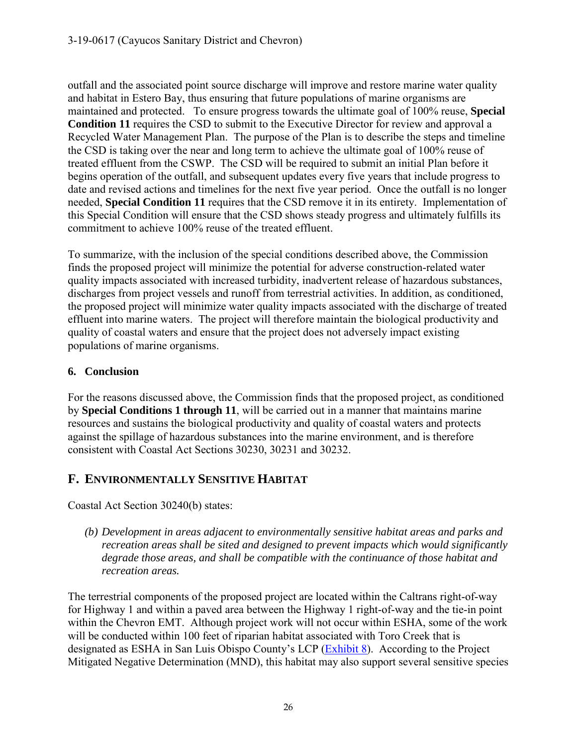outfall and the associated point source discharge will improve and restore marine water quality and habitat in Estero Bay, thus ensuring that future populations of marine organisms are maintained and protected. To ensure progress towards the ultimate goal of 100% reuse, **Special Condition 11** requires the CSD to submit to the Executive Director for review and approval a Recycled Water Management Plan. The purpose of the Plan is to describe the steps and timeline the CSD is taking over the near and long term to achieve the ultimate goal of 100% reuse of treated effluent from the CSWP. The CSD will be required to submit an initial Plan before it begins operation of the outfall, and subsequent updates every five years that include progress to date and revised actions and timelines for the next five year period. Once the outfall is no longer needed, **Special Condition 11** requires that the CSD remove it in its entirety. Implementation of this Special Condition will ensure that the CSD shows steady progress and ultimately fulfills its commitment to achieve 100% reuse of the treated effluent.

To summarize, with the inclusion of the special conditions described above, the Commission finds the proposed project will minimize the potential for adverse construction-related water quality impacts associated with increased turbidity, inadvertent release of hazardous substances, discharges from project vessels and runoff from terrestrial activities. In addition, as conditioned, the proposed project will minimize water quality impacts associated with the discharge of treated effluent into marine waters. The project will therefore maintain the biological productivity and quality of coastal waters and ensure that the project does not adversely impact existing populations of marine organisms.

## **6. Conclusion**

For the reasons discussed above, the Commission finds that the proposed project, as conditioned by **Special Conditions 1 through 11**, will be carried out in a manner that maintains marine resources and sustains the biological productivity and quality of coastal waters and protects against the spillage of hazardous substances into the marine environment, and is therefore consistent with Coastal Act Sections 30230, 30231 and 30232.

# <span id="page-25-0"></span>**F. ENVIRONMENTALLY SENSITIVE HABITAT**

Coastal Act Section 30240(b) states:

*(b) Development in areas adjacent to environmentally sensitive habitat areas and parks and recreation areas shall be sited and designed to prevent impacts which would significantly degrade those areas, and shall be compatible with the continuance of those habitat and recreation areas.* 

The terrestrial components of the proposed project are located within the Caltrans right-of-way for Highway 1 and within a paved area between the Highway 1 right-of-way and the tie-in point within the Chevron EMT. Although project work will not occur within ESHA, some of the work will be conducted within 100 feet of riparian habitat associated with Toro Creek that is designated as ESHA in San Luis Obispo County's LCP [\(Exhibit 8\)](https://documents.coastal.ca.gov/reports/2019/9/w15a/w15a-9-2019-exhibits.pdf). According to the Project Mitigated Negative Determination (MND), this habitat may also support several sensitive species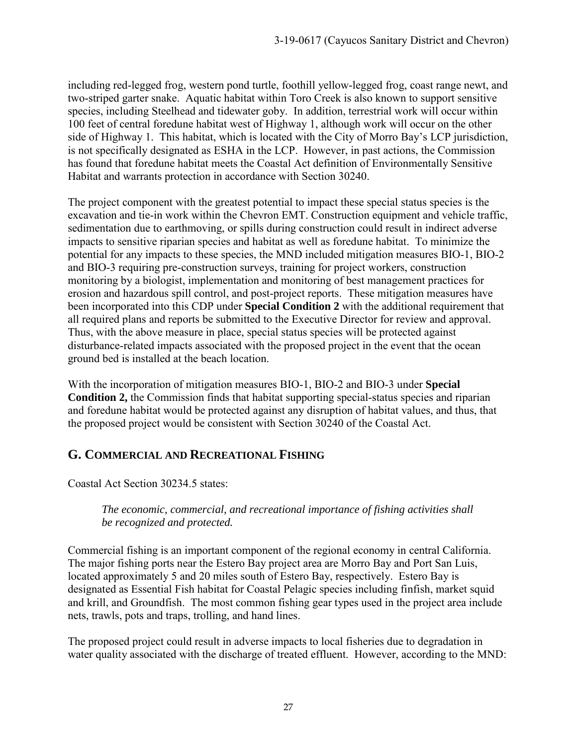including red-legged frog, western pond turtle, foothill yellow-legged frog, coast range newt, and two-striped garter snake. Aquatic habitat within Toro Creek is also known to support sensitive species, including Steelhead and tidewater goby. In addition, terrestrial work will occur within 100 feet of central foredune habitat west of Highway 1, although work will occur on the other side of Highway 1. This habitat, which is located with the City of Morro Bay's LCP jurisdiction, is not specifically designated as ESHA in the LCP. However, in past actions, the Commission has found that foredune habitat meets the Coastal Act definition of Environmentally Sensitive Habitat and warrants protection in accordance with Section 30240.

The project component with the greatest potential to impact these special status species is the excavation and tie-in work within the Chevron EMT. Construction equipment and vehicle traffic, sedimentation due to earthmoving, or spills during construction could result in indirect adverse impacts to sensitive riparian species and habitat as well as foredune habitat. To minimize the potential for any impacts to these species, the MND included mitigation measures BIO-1, BIO-2 and BIO-3 requiring pre-construction surveys, training for project workers, construction monitoring by a biologist, implementation and monitoring of best management practices for erosion and hazardous spill control, and post-project reports. These mitigation measures have been incorporated into this CDP under **Special Condition 2** with the additional requirement that all required plans and reports be submitted to the Executive Director for review and approval. Thus, with the above measure in place, special status species will be protected against disturbance-related impacts associated with the proposed project in the event that the ocean ground bed is installed at the beach location.

With the incorporation of mitigation measures BIO-1, BIO-2 and BIO-3 under **Special Condition 2,** the Commission finds that habitat supporting special-status species and riparian and foredune habitat would be protected against any disruption of habitat values, and thus, that the proposed project would be consistent with Section 30240 of the Coastal Act.

## <span id="page-26-0"></span>**G. COMMERCIAL AND RECREATIONAL FISHING**

Coastal Act Section 30234.5 states:

#### *The economic, commercial, and recreational importance of fishing activities shall be recognized and protected.*

Commercial fishing is an important component of the regional economy in central California. The major fishing ports near the Estero Bay project area are Morro Bay and Port San Luis, located approximately 5 and 20 miles south of Estero Bay, respectively. Estero Bay is designated as Essential Fish habitat for Coastal Pelagic species including finfish, market squid and krill, and Groundfish. The most common fishing gear types used in the project area include nets, trawls, pots and traps, trolling, and hand lines.

The proposed project could result in adverse impacts to local fisheries due to degradation in water quality associated with the discharge of treated effluent. However, according to the MND: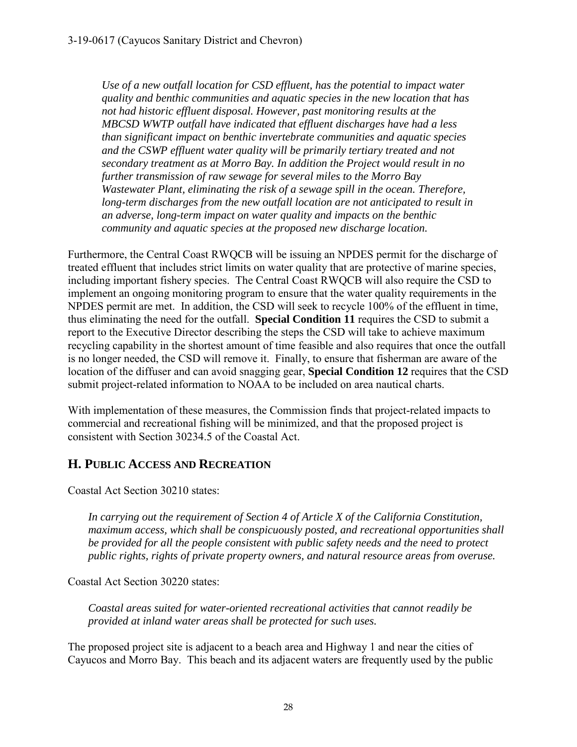*Use of a new outfall location for CSD effluent, has the potential to impact water quality and benthic communities and aquatic species in the new location that has not had historic effluent disposal. However, past monitoring results at the MBCSD WWTP outfall have indicated that effluent discharges have had a less than significant impact on benthic invertebrate communities and aquatic species*  and the CSWP effluent water quality will be primarily tertiary treated and not *secondary treatment as at Morro Bay. In addition the Project would result in no further transmission of raw sewage for several miles to the Morro Bay Wastewater Plant, eliminating the risk of a sewage spill in the ocean. Therefore, long-term discharges from the new outfall location are not anticipated to result in an adverse, long-term impact on water quality and impacts on the benthic community and aquatic species at the proposed new discharge location.* 

Furthermore, the Central Coast RWQCB will be issuing an NPDES permit for the discharge of treated effluent that includes strict limits on water quality that are protective of marine species, including important fishery species. The Central Coast RWQCB will also require the CSD to implement an ongoing monitoring program to ensure that the water quality requirements in the NPDES permit are met. In addition, the CSD will seek to recycle 100% of the effluent in time, thus eliminating the need for the outfall. **Special Condition 11** requires the CSD to submit a report to the Executive Director describing the steps the CSD will take to achieve maximum recycling capability in the shortest amount of time feasible and also requires that once the outfall is no longer needed, the CSD will remove it. Finally, to ensure that fisherman are aware of the location of the diffuser and can avoid snagging gear, **Special Condition 12** requires that the CSD submit project-related information to NOAA to be included on area nautical charts.

With implementation of these measures, the Commission finds that project-related impacts to commercial and recreational fishing will be minimized, and that the proposed project is consistent with Section 30234.5 of the Coastal Act.

## <span id="page-27-0"></span>**H. PUBLIC ACCESS AND RECREATION**

Coastal Act Section 30210 states:

*In carrying out the requirement of Section 4 of Article X of the California Constitution, maximum access, which shall be conspicuously posted, and recreational opportunities shall be provided for all the people consistent with public safety needs and the need to protect public rights, rights of private property owners, and natural resource areas from overuse.*

Coastal Act Section 30220 states:

*Coastal areas suited for water-oriented recreational activities that cannot readily be provided at inland water areas shall be protected for such uses.* 

The proposed project site is adjacent to a beach area and Highway 1 and near the cities of Cayucos and Morro Bay. This beach and its adjacent waters are frequently used by the public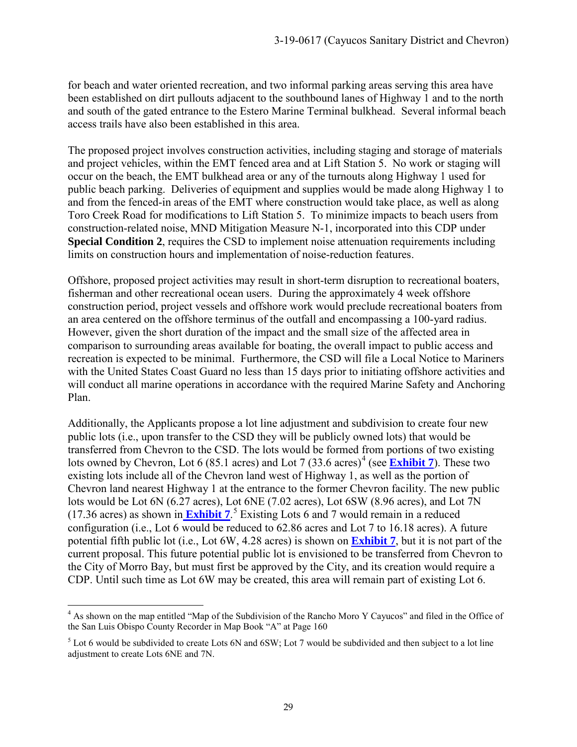for beach and water oriented recreation, and two informal parking areas serving this area have been established on dirt pullouts adjacent to the southbound lanes of Highway 1 and to the north and south of the gated entrance to the Estero Marine Terminal bulkhead. Several informal beach access trails have also been established in this area.

The proposed project involves construction activities, including staging and storage of materials and project vehicles, within the EMT fenced area and at Lift Station 5. No work or staging will occur on the beach, the EMT bulkhead area or any of the turnouts along Highway 1 used for public beach parking. Deliveries of equipment and supplies would be made along Highway 1 to and from the fenced-in areas of the EMT where construction would take place, as well as along Toro Creek Road for modifications to Lift Station 5. To minimize impacts to beach users from construction-related noise, MND Mitigation Measure N-1, incorporated into this CDP under **Special Condition 2**, requires the CSD to implement noise attenuation requirements including limits on construction hours and implementation of noise-reduction features.

Offshore, proposed project activities may result in short-term disruption to recreational boaters, fisherman and other recreational ocean users. During the approximately 4 week offshore construction period, project vessels and offshore work would preclude recreational boaters from an area centered on the offshore terminus of the outfall and encompassing a 100-yard radius. However, given the short duration of the impact and the small size of the affected area in comparison to surrounding areas available for boating, the overall impact to public access and recreation is expected to be minimal. Furthermore, the CSD will file a Local Notice to Mariners with the United States Coast Guard no less than 15 days prior to initiating offshore activities and will conduct all marine operations in accordance with the required Marine Safety and Anchoring Plan.

Additionally, the Applicants propose a lot line adjustment and subdivision to create four new public lots (i.e., upon transfer to the CSD they will be publicly owned lots) that would be transferred from Chevron to the CSD. The lots would be formed from portions of two existing lots owned by Chevron, Lot 6 (85.1 acres) and Lot 7 (33.6 acres)<sup>[4](#page-28-0)</sup> (see **[Exhibit 7](https://documents.coastal.ca.gov/reports/2019/9/w15a/w15a-9-2019-exhibits.pdf)**). These two existing lots include all of the Chevron land west of Highway 1, as well as the portion of Chevron land nearest Highway 1 at the entrance to the former Chevron facility. The new public lots would be Lot 6N (6.27 acres), Lot 6NE (7.02 acres), Lot 6SW (8.96 acres), and Lot 7N (17.36 acres) as shown in **[Exhibit 7](https://documents.coastal.ca.gov/reports/2019/9/w15a/w15a-9-2019-exhibits.pdf)**. [5](#page-28-1) Existing Lots 6 and 7 would remain in a reduced configuration (i.e., Lot 6 would be reduced to 62.86 acres and Lot 7 to 16.18 acres). A future potential fifth public lot (i.e., Lot 6W, 4.28 acres) is shown on **[Exhibit 7](https://documents.coastal.ca.gov/reports/2019/9/w15a/w15a-9-2019-exhibits.pdf)**, but it is not part of the current proposal. This future potential public lot is envisioned to be transferred from Chevron to the City of Morro Bay, but must first be approved by the City, and its creation would require a CDP. Until such time as Lot 6W may be created, this area will remain part of existing Lot 6.

<span id="page-28-0"></span> $\overline{a}$ <sup>4</sup> As shown on the map entitled "Map of the Subdivision of the Rancho Moro Y Cayucos" and filed in the Office of the San Luis Obispo County Recorder in Map Book "A" at Page 160

<span id="page-28-1"></span> $5$  Lot 6 would be subdivided to create Lots 6N and 6SW; Lot 7 would be subdivided and then subject to a lot line adjustment to create Lots 6NE and 7N.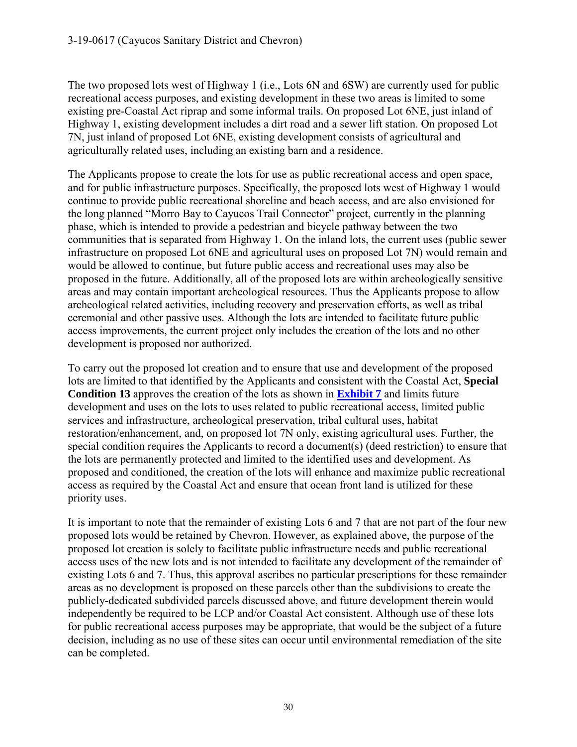The two proposed lots west of Highway 1 (i.e., Lots 6N and 6SW) are currently used for public recreational access purposes, and existing development in these two areas is limited to some existing pre-Coastal Act riprap and some informal trails. On proposed Lot 6NE, just inland of Highway 1, existing development includes a dirt road and a sewer lift station. On proposed Lot 7N, just inland of proposed Lot 6NE, existing development consists of agricultural and agriculturally related uses, including an existing barn and a residence.

The Applicants propose to create the lots for use as public recreational access and open space, and for public infrastructure purposes. Specifically, the proposed lots west of Highway 1 would continue to provide public recreational shoreline and beach access, and are also envisioned for the long planned "Morro Bay to Cayucos Trail Connector" project, currently in the planning phase, which is intended to provide a pedestrian and bicycle pathway between the two communities that is separated from Highway 1. On the inland lots, the current uses (public sewer infrastructure on proposed Lot 6NE and agricultural uses on proposed Lot 7N) would remain and would be allowed to continue, but future public access and recreational uses may also be proposed in the future. Additionally, all of the proposed lots are within archeologically sensitive areas and may contain important archeological resources. Thus the Applicants propose to allow archeological related activities, including recovery and preservation efforts, as well as tribal ceremonial and other passive uses. Although the lots are intended to facilitate future public access improvements, the current project only includes the creation of the lots and no other development is proposed nor authorized.

To carry out the proposed lot creation and to ensure that use and development of the proposed lots are limited to that identified by the Applicants and consistent with the Coastal Act, **Special Condition 13** approves the creation of the lots as shown in **[Exhibit 7](https://documents.coastal.ca.gov/reports/2019/9/w15a/w15a-9-2019-exhibits.pdf)** and limits future development and uses on the lots to uses related to public recreational access, limited public services and infrastructure, archeological preservation, tribal cultural uses, habitat restoration/enhancement, and, on proposed lot 7N only, existing agricultural uses. Further, the special condition requires the Applicants to record a document(s) (deed restriction) to ensure that the lots are permanently protected and limited to the identified uses and development. As proposed and conditioned, the creation of the lots will enhance and maximize public recreational access as required by the Coastal Act and ensure that ocean front land is utilized for these priority uses.

It is important to note that the remainder of existing Lots 6 and 7 that are not part of the four new proposed lots would be retained by Chevron. However, as explained above, the purpose of the proposed lot creation is solely to facilitate public infrastructure needs and public recreational access uses of the new lots and is not intended to facilitate any development of the remainder of existing Lots 6 and 7. Thus, this approval ascribes no particular prescriptions for these remainder areas as no development is proposed on these parcels other than the subdivisions to create the publicly-dedicated subdivided parcels discussed above, and future development therein would independently be required to be LCP and/or Coastal Act consistent. Although use of these lots for public recreational access purposes may be appropriate, that would be the subject of a future decision, including as no use of these sites can occur until environmental remediation of the site can be completed.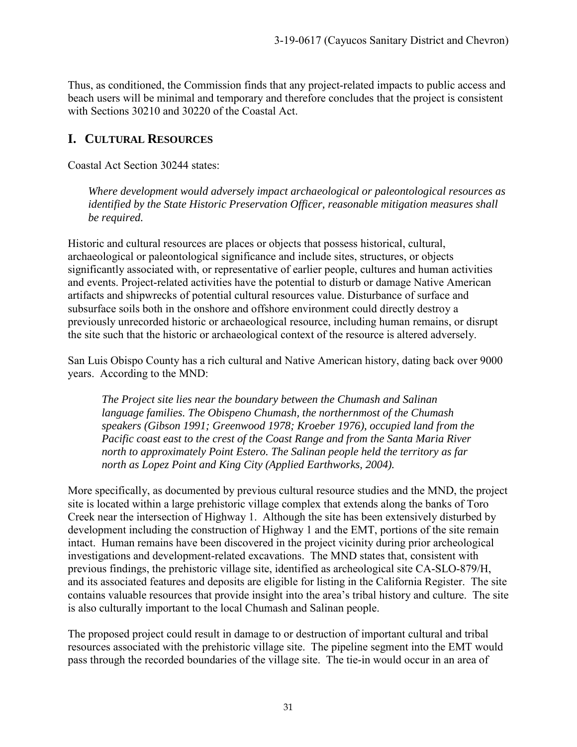Thus, as conditioned, the Commission finds that any project-related impacts to public access and beach users will be minimal and temporary and therefore concludes that the project is consistent with Sections 30210 and 30220 of the Coastal Act.

# <span id="page-30-0"></span>**I. CULTURAL RESOURCES**

Coastal Act Section 30244 states:

*Where development would adversely impact archaeological or paleontological resources as identified by the State Historic Preservation Officer, reasonable mitigation measures shall be required.* 

Historic and cultural resources are places or objects that possess historical, cultural, archaeological or paleontological significance and include sites, structures, or objects significantly associated with, or representative of earlier people, cultures and human activities and events. Project-related activities have the potential to disturb or damage Native American artifacts and shipwrecks of potential cultural resources value. Disturbance of surface and subsurface soils both in the onshore and offshore environment could directly destroy a previously unrecorded historic or archaeological resource, including human remains, or disrupt the site such that the historic or archaeological context of the resource is altered adversely.

San Luis Obispo County has a rich cultural and Native American history, dating back over 9000 years. According to the MND:

*The Project site lies near the boundary between the Chumash and Salinan language families. The Obispeno Chumash, the northernmost of the Chumash speakers (Gibson 1991; Greenwood 1978; Kroeber 1976), occupied land from the Pacific coast east to the crest of the Coast Range and from the Santa Maria River north to approximately Point Estero. The Salinan people held the territory as far north as Lopez Point and King City (Applied Earthworks, 2004).* 

More specifically, as documented by previous cultural resource studies and the MND, the project site is located within a large prehistoric village complex that extends along the banks of Toro Creek near the intersection of Highway 1. Although the site has been extensively disturbed by development including the construction of Highway 1 and the EMT, portions of the site remain intact. Human remains have been discovered in the project vicinity during prior archeological investigations and development-related excavations. The MND states that, consistent with previous findings, the prehistoric village site, identified as archeological site CA-SLO-879/H, and its associated features and deposits are eligible for listing in the California Register. The site contains valuable resources that provide insight into the area's tribal history and culture. The site is also culturally important to the local Chumash and Salinan people.

The proposed project could result in damage to or destruction of important cultural and tribal resources associated with the prehistoric village site. The pipeline segment into the EMT would pass through the recorded boundaries of the village site. The tie-in would occur in an area of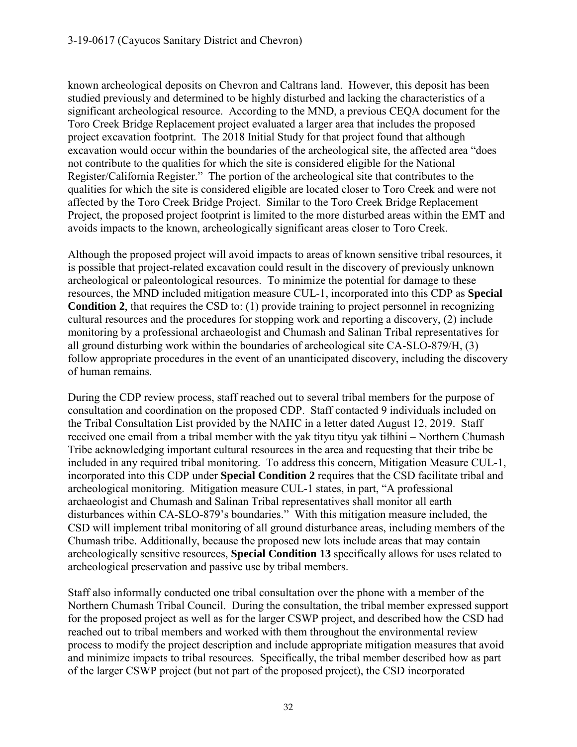known archeological deposits on Chevron and Caltrans land. However, this deposit has been studied previously and determined to be highly disturbed and lacking the characteristics of a significant archeological resource. According to the MND, a previous CEQA document for the Toro Creek Bridge Replacement project evaluated a larger area that includes the proposed project excavation footprint. The 2018 Initial Study for that project found that although excavation would occur within the boundaries of the archeological site, the affected area "does not contribute to the qualities for which the site is considered eligible for the National Register/California Register." The portion of the archeological site that contributes to the qualities for which the site is considered eligible are located closer to Toro Creek and were not affected by the Toro Creek Bridge Project. Similar to the Toro Creek Bridge Replacement Project, the proposed project footprint is limited to the more disturbed areas within the EMT and avoids impacts to the known, archeologically significant areas closer to Toro Creek.

Although the proposed project will avoid impacts to areas of known sensitive tribal resources, it is possible that project-related excavation could result in the discovery of previously unknown archeological or paleontological resources. To minimize the potential for damage to these resources, the MND included mitigation measure CUL-1, incorporated into this CDP as **Special Condition 2**, that requires the CSD to: (1) provide training to project personnel in recognizing cultural resources and the procedures for stopping work and reporting a discovery, (2) include monitoring by a professional archaeologist and Chumash and Salinan Tribal representatives for all ground disturbing work within the boundaries of archeological site CA-SLO-879/H, (3) follow appropriate procedures in the event of an unanticipated discovery, including the discovery of human remains.

During the CDP review process, staff reached out to several tribal members for the purpose of consultation and coordination on the proposed CDP. Staff contacted 9 individuals included on the Tribal Consultation List provided by the NAHC in a letter dated August 12, 2019. Staff received one email from a tribal member with the yak tityu tityu yak tiłhini – Northern Chumash Tribe acknowledging important cultural resources in the area and requesting that their tribe be included in any required tribal monitoring. To address this concern, Mitigation Measure CUL-1, incorporated into this CDP under **Special Condition 2** requires that the CSD facilitate tribal and archeological monitoring. Mitigation measure CUL-1 states, in part, "A professional archaeologist and Chumash and Salinan Tribal representatives shall monitor all earth disturbances within CA-SLO-879's boundaries." With this mitigation measure included, the CSD will implement tribal monitoring of all ground disturbance areas, including members of the Chumash tribe. Additionally, because the proposed new lots include areas that may contain archeologically sensitive resources, **Special Condition 13** specifically allows for uses related to archeological preservation and passive use by tribal members.

Staff also informally conducted one tribal consultation over the phone with a member of the Northern Chumash Tribal Council. During the consultation, the tribal member expressed support for the proposed project as well as for the larger CSWP project, and described how the CSD had reached out to tribal members and worked with them throughout the environmental review process to modify the project description and include appropriate mitigation measures that avoid and minimize impacts to tribal resources. Specifically, the tribal member described how as part of the larger CSWP project (but not part of the proposed project), the CSD incorporated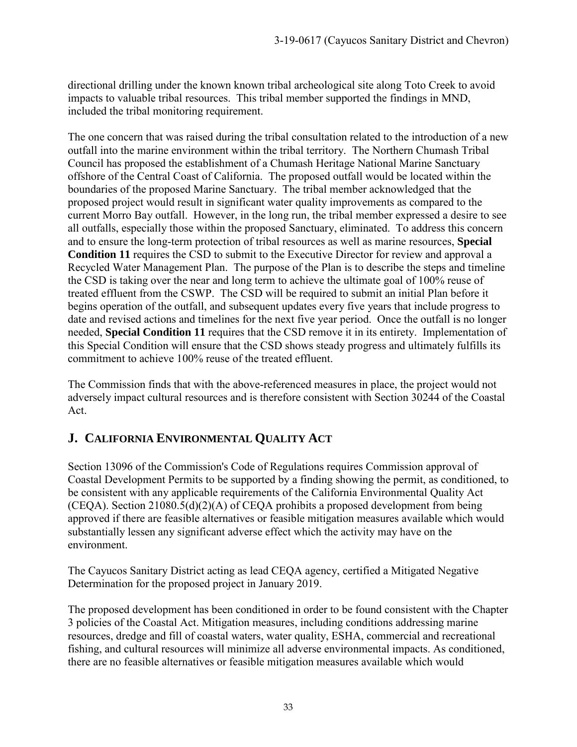directional drilling under the known known tribal archeological site along Toto Creek to avoid impacts to valuable tribal resources. This tribal member supported the findings in MND, included the tribal monitoring requirement.

The one concern that was raised during the tribal consultation related to the introduction of a new outfall into the marine environment within the tribal territory. The Northern Chumash Tribal Council has proposed the establishment of a Chumash Heritage National Marine Sanctuary offshore of the Central Coast of California. The proposed outfall would be located within the boundaries of the proposed Marine Sanctuary. The tribal member acknowledged that the proposed project would result in significant water quality improvements as compared to the current Morro Bay outfall. However, in the long run, the tribal member expressed a desire to see all outfalls, especially those within the proposed Sanctuary, eliminated. To address this concern and to ensure the long-term protection of tribal resources as well as marine resources, **Special Condition 11** requires the CSD to submit to the Executive Director for review and approval a Recycled Water Management Plan. The purpose of the Plan is to describe the steps and timeline the CSD is taking over the near and long term to achieve the ultimate goal of 100% reuse of treated effluent from the CSWP. The CSD will be required to submit an initial Plan before it begins operation of the outfall, and subsequent updates every five years that include progress to date and revised actions and timelines for the next five year period. Once the outfall is no longer needed, **Special Condition 11** requires that the CSD remove it in its entirety. Implementation of this Special Condition will ensure that the CSD shows steady progress and ultimately fulfills its commitment to achieve 100% reuse of the treated effluent.

The Commission finds that with the above-referenced measures in place, the project would not adversely impact cultural resources and is therefore consistent with Section 30244 of the Coastal Act.

# <span id="page-32-0"></span>**J. CALIFORNIA ENVIRONMENTAL QUALITY ACT**

Section 13096 of the Commission's Code of Regulations requires Commission approval of Coastal Development Permits to be supported by a finding showing the permit, as conditioned, to be consistent with any applicable requirements of the California Environmental Quality Act (CEQA). Section 21080.5(d)(2)(A) of CEQA prohibits a proposed development from being approved if there are feasible alternatives or feasible mitigation measures available which would substantially lessen any significant adverse effect which the activity may have on the environment.

The Cayucos Sanitary District acting as lead CEQA agency, certified a Mitigated Negative Determination for the proposed project in January 2019.

The proposed development has been conditioned in order to be found consistent with the Chapter 3 policies of the Coastal Act. Mitigation measures, including conditions addressing marine resources, dredge and fill of coastal waters, water quality, ESHA, commercial and recreational fishing, and cultural resources will minimize all adverse environmental impacts. As conditioned, there are no feasible alternatives or feasible mitigation measures available which would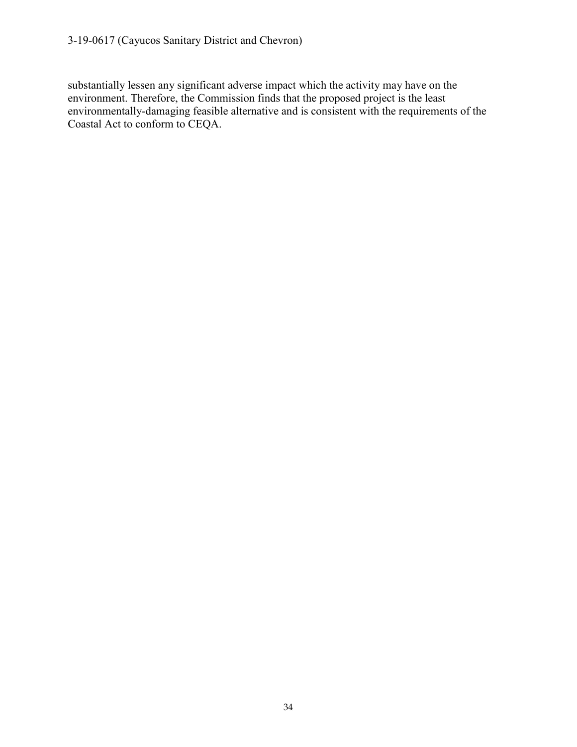substantially lessen any significant adverse impact which the activity may have on the environment. Therefore, the Commission finds that the proposed project is the least environmentally-damaging feasible alternative and is consistent with the requirements of the Coastal Act to conform to CEQA.